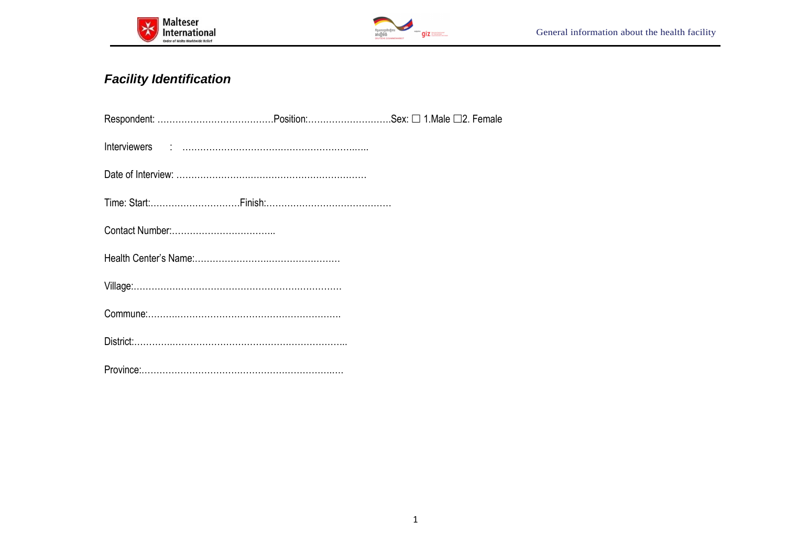



# **Facility Identification**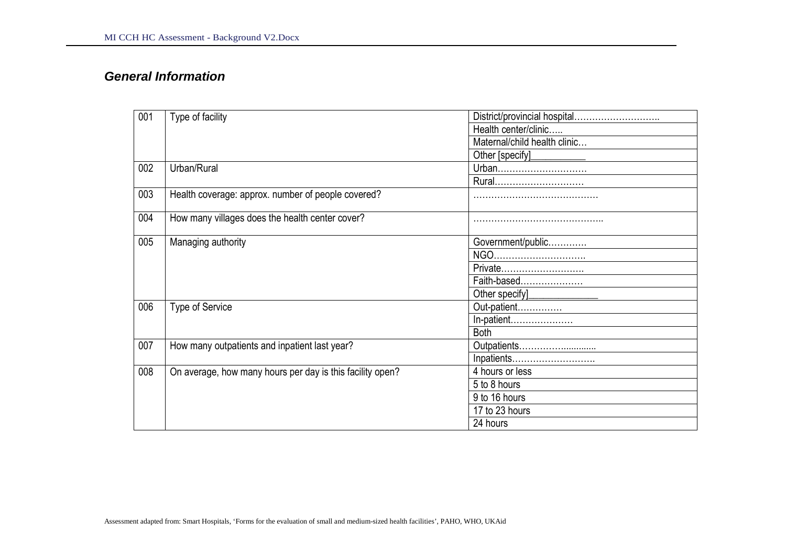### **General Information**

| 001 | Type of facility                                          | District/provincial hospital |  |  |
|-----|-----------------------------------------------------------|------------------------------|--|--|
|     |                                                           | Health center/clinic         |  |  |
|     |                                                           | Maternal/child health clinic |  |  |
|     |                                                           | Other [specify]              |  |  |
| 002 | Urban/Rural                                               | Urban                        |  |  |
|     |                                                           | Rural                        |  |  |
| 003 | Health coverage: approx. number of people covered?        |                              |  |  |
| 004 | How many villages does the health center cover?           |                              |  |  |
| 005 | Managing authority                                        | Government/public            |  |  |
|     |                                                           | NGO                          |  |  |
|     |                                                           | Private                      |  |  |
|     |                                                           | Faith-based                  |  |  |
|     |                                                           | Other specify                |  |  |
| 006 | <b>Type of Service</b>                                    | Out-patient                  |  |  |
|     |                                                           | In-patient                   |  |  |
|     |                                                           | <b>Both</b>                  |  |  |
| 007 | How many outpatients and inpatient last year?             |                              |  |  |
|     |                                                           | Inpatients                   |  |  |
| 008 | On average, how many hours per day is this facility open? | 4 hours or less              |  |  |
|     |                                                           | 5 to 8 hours                 |  |  |
|     |                                                           | 9 to 16 hours                |  |  |
|     |                                                           | 17 to 23 hours               |  |  |
|     |                                                           | 24 hours                     |  |  |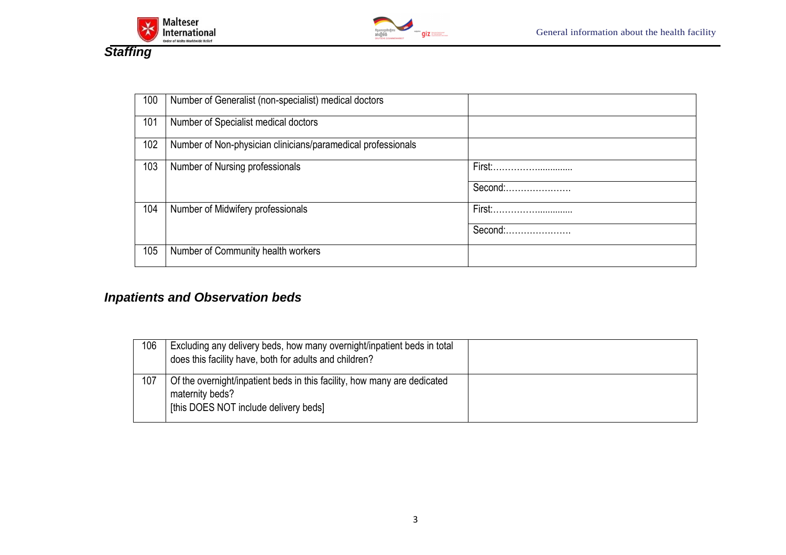



| 100 | Number of Generalist (non-specialist) medical doctors        |                   |
|-----|--------------------------------------------------------------|-------------------|
| 101 | Number of Specialist medical doctors                         |                   |
| 102 | Number of Non-physician clinicians/paramedical professionals |                   |
| 103 | Number of Nursing professionals                              | Second:           |
| 104 | Number of Midwifery professionals                            | First:<br>Second: |
| 105 | Number of Community health workers                           |                   |

# **Inpatients and Observation beds**

| 106 | Excluding any delivery beds, how many overnight/inpatient beds in total<br>does this facility have, both for adults and children?    |  |
|-----|--------------------------------------------------------------------------------------------------------------------------------------|--|
| 107 | Of the overnight/inpatient beds in this facility, how many are dedicated<br>maternity beds?<br>[this DOES NOT include delivery beds] |  |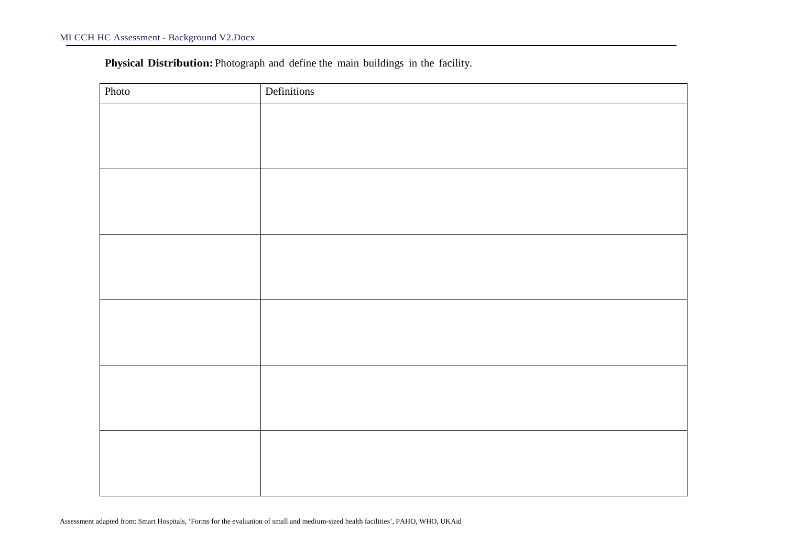**Physical Distribution:**Photograph and define the main buildings in the facility.

| Photo | Definitions |
|-------|-------------|
|       |             |
|       |             |
|       |             |
|       |             |
|       |             |
|       |             |
|       |             |
|       |             |
|       |             |
|       |             |
|       |             |
|       |             |
|       |             |
|       |             |
|       |             |
|       |             |
|       |             |
|       |             |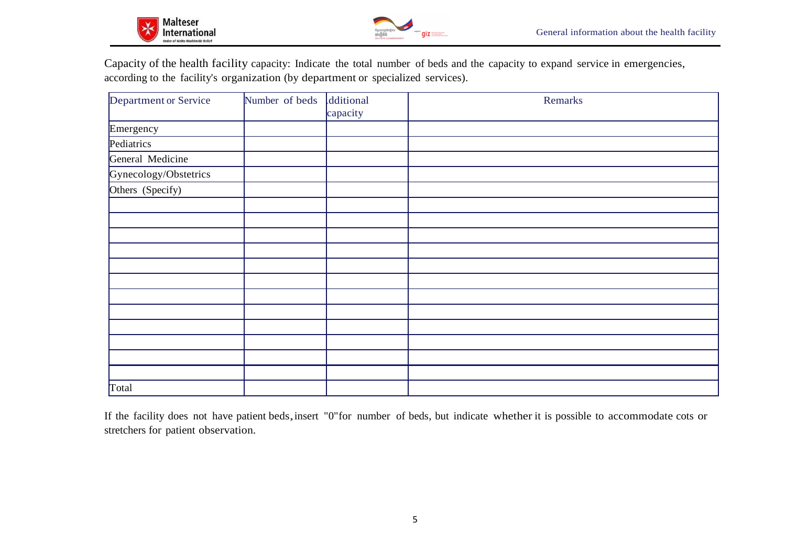

Capacity of the health facility capacity: Indicate the total number of beds and the capacity to expand service in emergencies,according to the facility's organization (by department or specialized services).

| Department or Service | Number of beds | dditional<br>capacity | Remarks |
|-----------------------|----------------|-----------------------|---------|
| Emergency             |                |                       |         |
| Pediatrics            |                |                       |         |
| General Medicine      |                |                       |         |
| Gynecology/Obstetrics |                |                       |         |
| Others (Specify)      |                |                       |         |
|                       |                |                       |         |
|                       |                |                       |         |
|                       |                |                       |         |
|                       |                |                       |         |
|                       |                |                       |         |
|                       |                |                       |         |
|                       |                |                       |         |
|                       |                |                       |         |
|                       |                |                       |         |
|                       |                |                       |         |
|                       |                |                       |         |
|                       |                |                       |         |
| Total                 |                |                       |         |

If the facility does not have patient beds, insert "0"for number of beds, but indicate whether it is possible to accommodate cots or stretchers for patient observation.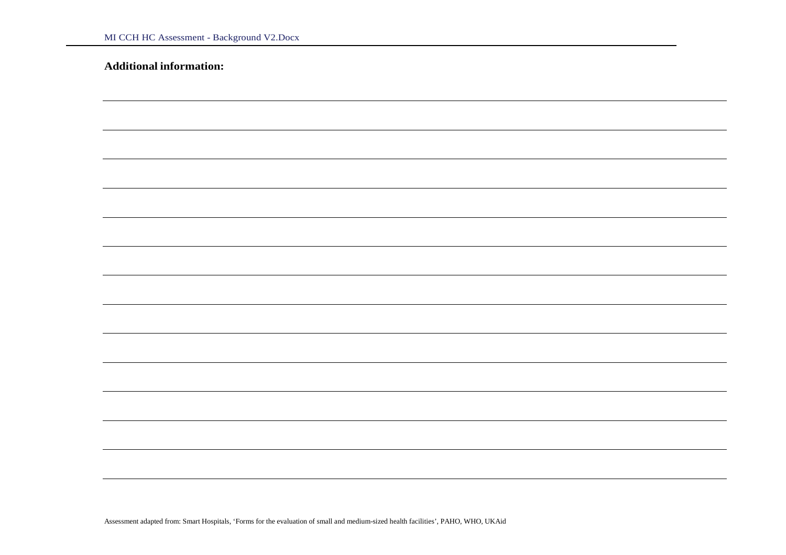|  | <b>Additional information:</b> |  |
|--|--------------------------------|--|
|  |                                |  |

Assessment adapted from: Smart Hospitals, 'Forms for the evaluation of small and medium-sized health facilities', PAHO, WHO, UKAid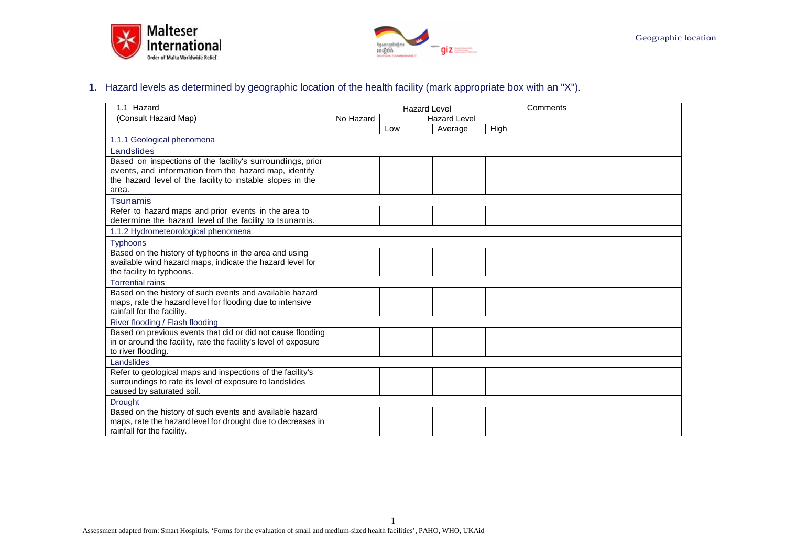



#### **1.** Hazard levels as determined by geographic location of the health facility (mark appropriate box with an "X").

| 1.1 Hazard                                                                                                          | <b>Hazard Level</b> |                     |         | Comments |  |
|---------------------------------------------------------------------------------------------------------------------|---------------------|---------------------|---------|----------|--|
| (Consult Hazard Map)                                                                                                | No Hazard           | <b>Hazard Level</b> |         |          |  |
|                                                                                                                     |                     | Low                 | Average | High     |  |
| 1.1.1 Geological phenomena                                                                                          |                     |                     |         |          |  |
| Landslides                                                                                                          |                     |                     |         |          |  |
| Based on inspections of the facility's surroundings, prior                                                          |                     |                     |         |          |  |
| events, and information from the hazard map, identify                                                               |                     |                     |         |          |  |
| the hazard level of the facility to instable slopes in the                                                          |                     |                     |         |          |  |
| area.                                                                                                               |                     |                     |         |          |  |
| <b>Tsunamis</b>                                                                                                     |                     |                     |         |          |  |
| Refer to hazard maps and prior events in the area to                                                                |                     |                     |         |          |  |
| determine the hazard level of the facility to tsunamis.                                                             |                     |                     |         |          |  |
| 1.1.2 Hydrometeorological phenomena                                                                                 |                     |                     |         |          |  |
| <b>Typhoons</b>                                                                                                     |                     |                     |         |          |  |
| Based on the history of typhoons in the area and using<br>available wind hazard maps, indicate the hazard level for |                     |                     |         |          |  |
| the facility to typhoons.                                                                                           |                     |                     |         |          |  |
| <b>Torrential rains</b>                                                                                             |                     |                     |         |          |  |
| Based on the history of such events and available hazard                                                            |                     |                     |         |          |  |
| maps, rate the hazard level for flooding due to intensive                                                           |                     |                     |         |          |  |
| rainfall for the facility.                                                                                          |                     |                     |         |          |  |
| River flooding / Flash flooding                                                                                     |                     |                     |         |          |  |
| Based on previous events that did or did not cause flooding                                                         |                     |                     |         |          |  |
| in or around the facility, rate the facility's level of exposure                                                    |                     |                     |         |          |  |
| to river flooding.                                                                                                  |                     |                     |         |          |  |
| Landslides                                                                                                          |                     |                     |         |          |  |
| Refer to geological maps and inspections of the facility's                                                          |                     |                     |         |          |  |
| surroundings to rate its level of exposure to landslides<br>caused by saturated soil.                               |                     |                     |         |          |  |
|                                                                                                                     |                     |                     |         |          |  |
| <b>Drought</b><br>Based on the history of such events and available hazard                                          |                     |                     |         |          |  |
| maps, rate the hazard level for drought due to decreases in                                                         |                     |                     |         |          |  |
| rainfall for the facility.                                                                                          |                     |                     |         |          |  |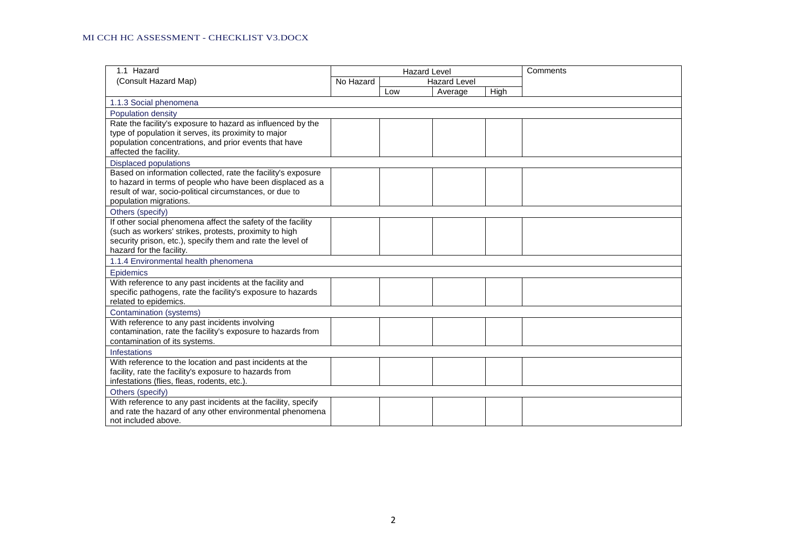| 1.1 Hazard                                                    |                                  | <b>Hazard Level</b> |         |             | Comments |
|---------------------------------------------------------------|----------------------------------|---------------------|---------|-------------|----------|
| (Consult Hazard Map)                                          | No Hazard<br><b>Hazard Level</b> |                     |         |             |          |
|                                                               |                                  | Low                 | Average | <b>High</b> |          |
| 1.1.3 Social phenomena                                        |                                  |                     |         |             |          |
| Population density                                            |                                  |                     |         |             |          |
| Rate the facility's exposure to hazard as influenced by the   |                                  |                     |         |             |          |
| type of population it serves, its proximity to major          |                                  |                     |         |             |          |
| population concentrations, and prior events that have         |                                  |                     |         |             |          |
| affected the facility.                                        |                                  |                     |         |             |          |
| <b>Displaced populations</b>                                  |                                  |                     |         |             |          |
| Based on information collected, rate the facility's exposure  |                                  |                     |         |             |          |
| to hazard in terms of people who have been displaced as a     |                                  |                     |         |             |          |
| result of war, socio-political circumstances, or due to       |                                  |                     |         |             |          |
| population migrations.                                        |                                  |                     |         |             |          |
| Others (specify)                                              |                                  |                     |         |             |          |
| If other social phenomena affect the safety of the facility   |                                  |                     |         |             |          |
| (such as workers' strikes, protests, proximity to high        |                                  |                     |         |             |          |
| security prison, etc.), specify them and rate the level of    |                                  |                     |         |             |          |
| hazard for the facility.                                      |                                  |                     |         |             |          |
| 1.1.4 Environmental health phenomena                          |                                  |                     |         |             |          |
| Epidemics                                                     |                                  |                     |         |             |          |
| With reference to any past incidents at the facility and      |                                  |                     |         |             |          |
| specific pathogens, rate the facility's exposure to hazards   |                                  |                     |         |             |          |
| related to epidemics.                                         |                                  |                     |         |             |          |
| Contamination (systems)                                       |                                  |                     |         |             |          |
| With reference to any past incidents involving                |                                  |                     |         |             |          |
| contamination, rate the facility's exposure to hazards from   |                                  |                     |         |             |          |
| contamination of its systems.                                 |                                  |                     |         |             |          |
| <b>Infestations</b>                                           |                                  |                     |         |             |          |
| With reference to the location and past incidents at the      |                                  |                     |         |             |          |
| facility, rate the facility's exposure to hazards from        |                                  |                     |         |             |          |
| infestations (flies, fleas, rodents, etc.)                    |                                  |                     |         |             |          |
| Others (specify)                                              |                                  |                     |         |             |          |
| With reference to any past incidents at the facility, specify |                                  |                     |         |             |          |
| and rate the hazard of any other environmental phenomena      |                                  |                     |         |             |          |
| not included above.                                           |                                  |                     |         |             |          |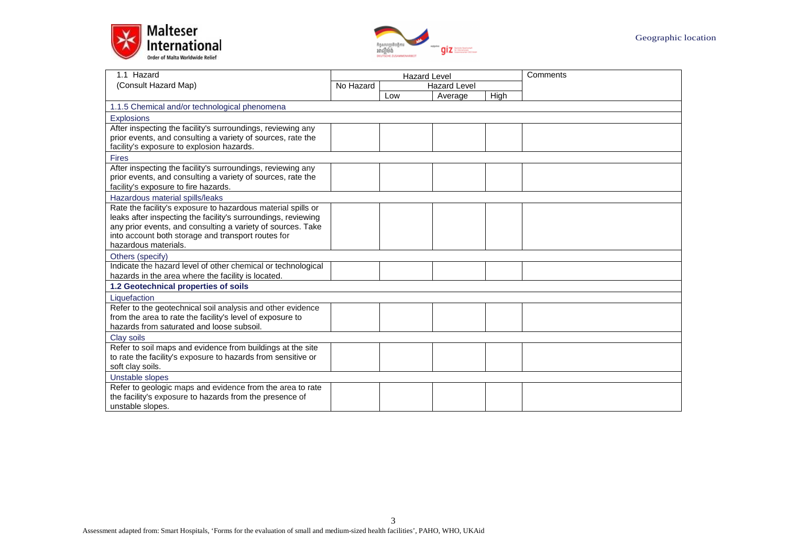



| 1.1 Hazard                                                                                                        | <b>Hazard Level</b> |                     |         |             | Comments |
|-------------------------------------------------------------------------------------------------------------------|---------------------|---------------------|---------|-------------|----------|
| (Consult Hazard Map)                                                                                              | No Hazard           | <b>Hazard Level</b> |         |             |          |
|                                                                                                                   |                     | Low                 | Average | <b>High</b> |          |
| 1.1.5 Chemical and/or technological phenomena                                                                     |                     |                     |         |             |          |
| <b>Explosions</b>                                                                                                 |                     |                     |         |             |          |
| After inspecting the facility's surroundings, reviewing any                                                       |                     |                     |         |             |          |
| prior events, and consulting a variety of sources, rate the                                                       |                     |                     |         |             |          |
| facility's exposure to explosion hazards.                                                                         |                     |                     |         |             |          |
| <b>Fires</b>                                                                                                      |                     |                     |         |             |          |
| After inspecting the facility's surroundings, reviewing any                                                       |                     |                     |         |             |          |
| prior events, and consulting a variety of sources, rate the                                                       |                     |                     |         |             |          |
| facility's exposure to fire hazards.                                                                              |                     |                     |         |             |          |
| Hazardous material spills/leaks                                                                                   |                     |                     |         |             |          |
| Rate the facility's exposure to hazardous material spills or                                                      |                     |                     |         |             |          |
| leaks after inspecting the facility's surroundings, reviewing                                                     |                     |                     |         |             |          |
| any prior events, and consulting a variety of sources. Take<br>into account both storage and transport routes for |                     |                     |         |             |          |
| hazardous materials.                                                                                              |                     |                     |         |             |          |
| Others (specify)                                                                                                  |                     |                     |         |             |          |
| Indicate the hazard level of other chemical or technological                                                      |                     |                     |         |             |          |
| hazards in the area where the facility is located.                                                                |                     |                     |         |             |          |
| 1.2 Geotechnical properties of soils                                                                              |                     |                     |         |             |          |
| Liquefaction                                                                                                      |                     |                     |         |             |          |
| Refer to the geotechnical soil analysis and other evidence                                                        |                     |                     |         |             |          |
| from the area to rate the facility's level of exposure to                                                         |                     |                     |         |             |          |
| hazards from saturated and loose subsoil.                                                                         |                     |                     |         |             |          |
| Clay soils                                                                                                        |                     |                     |         |             |          |
| Refer to soil maps and evidence from buildings at the site                                                        |                     |                     |         |             |          |
| to rate the facility's exposure to hazards from sensitive or                                                      |                     |                     |         |             |          |
| soft clay soils.                                                                                                  |                     |                     |         |             |          |
| Unstable slopes                                                                                                   |                     |                     |         |             |          |
| Refer to geologic maps and evidence from the area to rate                                                         |                     |                     |         |             |          |
| the facility's exposure to hazards from the presence of                                                           |                     |                     |         |             |          |
| unstable slopes.                                                                                                  |                     |                     |         |             |          |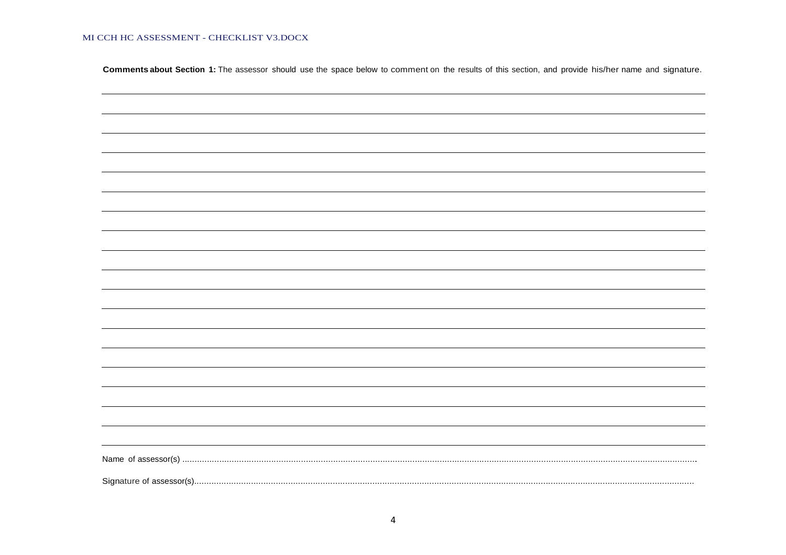MI CCH HC ASSESSMENT - CHECKLIST V3.DOCX

Comments about Section 1: The assessor should use the space below to comment on the results of this section, and provide his/her name and signature.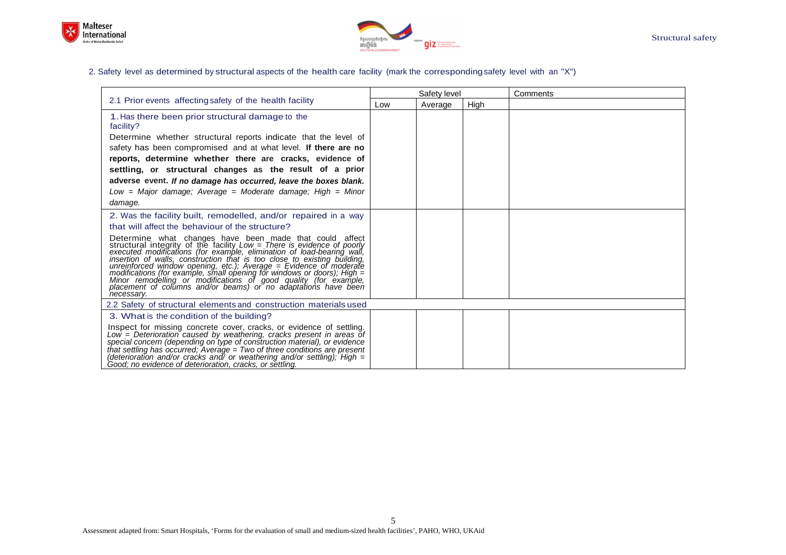



#### 2. Safety level as determined by structural aspects of the health care facility (mark the corresponding safety level with an "X")

|                                                                                                                                                                                                                                                                                                                                                                                                                                                                                                                                                                                  |     | Safety level |      | Comments |
|----------------------------------------------------------------------------------------------------------------------------------------------------------------------------------------------------------------------------------------------------------------------------------------------------------------------------------------------------------------------------------------------------------------------------------------------------------------------------------------------------------------------------------------------------------------------------------|-----|--------------|------|----------|
| 2.1 Prior events affecting safety of the health facility                                                                                                                                                                                                                                                                                                                                                                                                                                                                                                                         | Low | Average      | High |          |
| 1. Has there been prior structural damage to the<br>facility?                                                                                                                                                                                                                                                                                                                                                                                                                                                                                                                    |     |              |      |          |
| Determine whether structural reports indicate that the level of<br>safety has been compromised and at what level. If there are no<br>reports, determine whether there are cracks, evidence of                                                                                                                                                                                                                                                                                                                                                                                    |     |              |      |          |
| settling, or structural changes as the result of a prior                                                                                                                                                                                                                                                                                                                                                                                                                                                                                                                         |     |              |      |          |
| adverse event. If no damage has occurred, leave the boxes blank.                                                                                                                                                                                                                                                                                                                                                                                                                                                                                                                 |     |              |      |          |
| Low = Major damage: Average = Moderate damage: High = Minor                                                                                                                                                                                                                                                                                                                                                                                                                                                                                                                      |     |              |      |          |
| damage.                                                                                                                                                                                                                                                                                                                                                                                                                                                                                                                                                                          |     |              |      |          |
| 2. Was the facility built, remodelled, and/or repaired in a way                                                                                                                                                                                                                                                                                                                                                                                                                                                                                                                  |     |              |      |          |
| that will affect the behaviour of the structure?                                                                                                                                                                                                                                                                                                                                                                                                                                                                                                                                 |     |              |      |          |
| Determine what changes have been made that could affect structural integrity of the facility Low = There is evidence of poorly executed modifications (for example, elimination of load-bearing wall,<br>insertion of walls, construction that is too close to existing building,<br>unreinforced window opening, etc.), Average = Evidence of moderate<br>modifications (for example, small opening for windows or doors); High = Minor remodelling or modifications of good quality (for example, placement of columns and/or beams) or no adaptations have been<br>necessary. |     |              |      |          |
| 2.2 Safety of structural elements and construction materials used                                                                                                                                                                                                                                                                                                                                                                                                                                                                                                                |     |              |      |          |
| 3. What is the condition of the building?                                                                                                                                                                                                                                                                                                                                                                                                                                                                                                                                        |     |              |      |          |
| Inspect for missing concrete cover, cracks, or evidence of settling.<br>Low = Deterioration caused by weathering, cracks present in areas of<br>special concern (depending on type of construction material), or evidence<br>that settling has occurred; Average = Two of three conditions are present<br>(deterioration and/or cracks and/ or weathering and/or settling); High $=$<br>Good; no evidence of deterioration, cracks, or settling.                                                                                                                                 |     |              |      |          |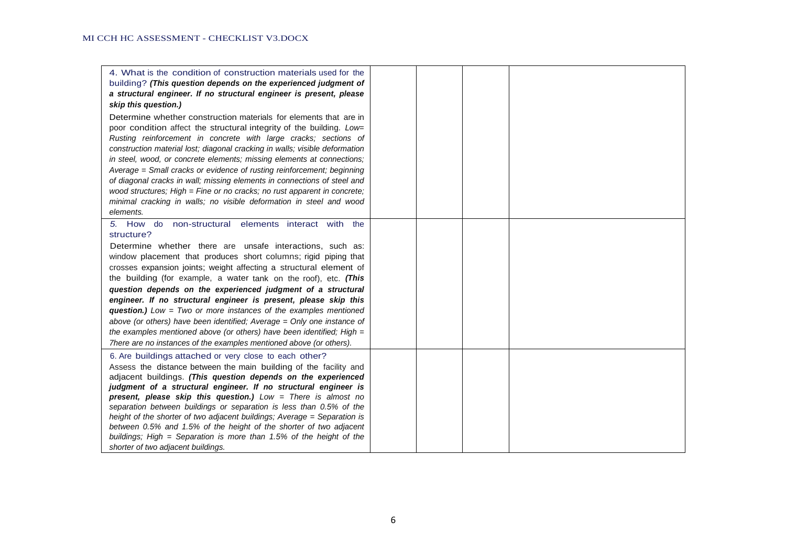| 4. What is the condition of construction materials used for the<br>building? (This question depends on the experienced judgment of<br>a structural engineer. If no structural engineer is present, please<br>skip this question.)<br>Determine whether construction materials for elements that are in                                                                                                                                                                                                                                                                                                                  |  |  |
|-------------------------------------------------------------------------------------------------------------------------------------------------------------------------------------------------------------------------------------------------------------------------------------------------------------------------------------------------------------------------------------------------------------------------------------------------------------------------------------------------------------------------------------------------------------------------------------------------------------------------|--|--|
| poor condition affect the structural integrity of the building. Low=<br>Rusting reinforcement in concrete with large cracks; sections of<br>construction material lost; diagonal cracking in walls; visible deformation<br>in steel, wood, or concrete elements; missing elements at connections;<br>Average = Small cracks or evidence of rusting reinforcement; beginning<br>of diagonal cracks in wall; missing elements in connections of steel and<br>wood structures; High = Fine or no cracks; no rust apparent in concrete;<br>minimal cracking in walls; no visible deformation in steel and wood<br>elements. |  |  |
| 5. How do non-structural elements interact with the<br>structure?                                                                                                                                                                                                                                                                                                                                                                                                                                                                                                                                                       |  |  |
| Determine whether there are unsafe interactions, such as:<br>window placement that produces short columns; rigid piping that<br>crosses expansion joints; weight affecting a structural element of<br>the building (for example, a water tank on the roof), etc. (This                                                                                                                                                                                                                                                                                                                                                  |  |  |
| question depends on the experienced judgment of a structural<br>engineer. If no structural engineer is present, please skip this<br><b>question.)</b> Low = Two or more instances of the examples mentioned<br>above (or others) have been identified; Average = Only one instance of                                                                                                                                                                                                                                                                                                                                   |  |  |
| the examples mentioned above (or others) have been identified; High $=$<br>There are no instances of the examples mentioned above (or others).                                                                                                                                                                                                                                                                                                                                                                                                                                                                          |  |  |
| 6. Are buildings attached or very close to each other?<br>Assess the distance between the main building of the facility and<br>adjacent buildings. (This question depends on the experienced<br>judgment of a structural engineer. If no structural engineer is<br>present, please skip this question.) Low = There is almost no<br>separation between buildings or separation is less than 0.5% of the<br>height of the shorter of two adjacent buildings; Average = Separation is<br>between 0.5% and 1.5% of the height of the shorter of two adjacent                                                               |  |  |
| buildings; High $=$ Separation is more than 1.5% of the height of the<br>shorter of two adjacent buildings.                                                                                                                                                                                                                                                                                                                                                                                                                                                                                                             |  |  |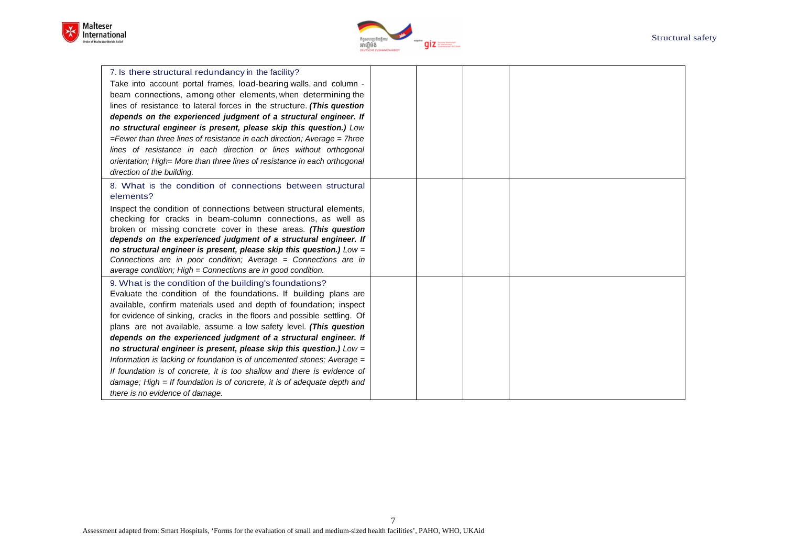



| 7. Is there structural redundancy in the facility?                            |  |  |
|-------------------------------------------------------------------------------|--|--|
| Take into account portal frames, load-bearing walls, and column -             |  |  |
| beam connections, among other elements, when determining the                  |  |  |
| lines of resistance to lateral forces in the structure. (This question        |  |  |
| depends on the experienced judgment of a structural engineer. If              |  |  |
| no structural engineer is present, please skip this question.) Low            |  |  |
| $=$ Fewer than three lines of resistance in each direction; Average $=$ 7hree |  |  |
| lines of resistance in each direction or lines without orthogonal             |  |  |
| orientation; High= More than three lines of resistance in each orthogonal     |  |  |
| direction of the building.                                                    |  |  |
| 8. What is the condition of connections between structural                    |  |  |
| elements?                                                                     |  |  |
| Inspect the condition of connections between structural elements,             |  |  |
| checking for cracks in beam-column connections, as well as                    |  |  |
| broken or missing concrete cover in these areas. (This question               |  |  |
| depends on the experienced judgment of a structural engineer. If              |  |  |
| no structural engineer is present, please skip this question.) Low =          |  |  |
| Connections are in poor condition; Average = Connections are in               |  |  |
| average condition; High = Connections are in good condition.                  |  |  |
| 9. What is the condition of the building's foundations?                       |  |  |
| Evaluate the condition of the foundations. If building plans are              |  |  |
| available, confirm materials used and depth of foundation; inspect            |  |  |
| for evidence of sinking, cracks in the floors and possible settling. Of       |  |  |
| plans are not available, assume a low safety level. (This question            |  |  |
| depends on the experienced judgment of a structural engineer. If              |  |  |
| no structural engineer is present, please skip this question.) Low =          |  |  |
| Information is lacking or foundation is of uncemented stones; Average =       |  |  |
| If foundation is of concrete, it is too shallow and there is evidence of      |  |  |
| damage; High $=$ If foundation is of concrete, it is of adequate depth and    |  |  |
| there is no evidence of damage.                                               |  |  |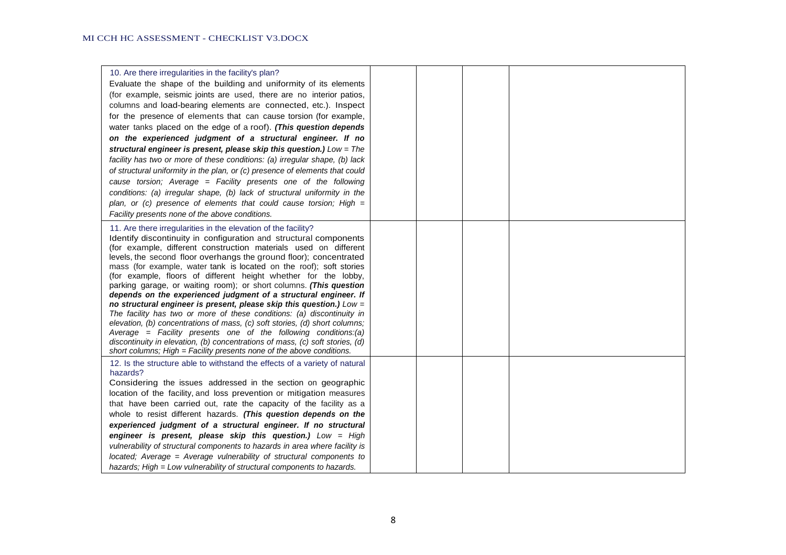| 10. Are there irregularities in the facility's plan?<br>Evaluate the shape of the building and uniformity of its elements<br>(for example, seismic joints are used, there are no interior patios,<br>columns and load-bearing elements are connected, etc.). Inspect<br>for the presence of elements that can cause torsion (for example,<br>water tanks placed on the edge of a roof). (This question depends<br>on the experienced judgment of a structural engineer. If no<br>structural engineer is present, please skip this question.) Low = The<br>facility has two or more of these conditions: (a) irregular shape, (b) lack<br>of structural uniformity in the plan, or (c) presence of elements that could<br>cause torsion; Average = Facility presents one of the following<br>conditions: (a) irregular shape, (b) lack of structural uniformity in the<br>plan, or (c) presence of elements that could cause torsion; High $=$<br>Facility presents none of the above conditions.                                |  |  |
|---------------------------------------------------------------------------------------------------------------------------------------------------------------------------------------------------------------------------------------------------------------------------------------------------------------------------------------------------------------------------------------------------------------------------------------------------------------------------------------------------------------------------------------------------------------------------------------------------------------------------------------------------------------------------------------------------------------------------------------------------------------------------------------------------------------------------------------------------------------------------------------------------------------------------------------------------------------------------------------------------------------------------------|--|--|
| 11. Are there irregularities in the elevation of the facility?<br>Identify discontinuity in configuration and structural components<br>(for example, different construction materials used on different<br>levels, the second floor overhangs the ground floor); concentrated<br>mass (for example, water tank is located on the roof); soft stories<br>(for example, floors of different height whether for the lobby,<br>parking garage, or waiting room); or short columns. (This question<br>depends on the experienced judgment of a structural engineer. If<br>no structural engineer is present, please skip this question.) Low =<br>The facility has two or more of these conditions: (a) discontinuity in<br>elevation, (b) concentrations of mass, (c) soft stories, (d) short columns;<br>Average = Facility presents one of the following conditions:(a)<br>discontinuity in elevation, (b) concentrations of mass, (c) soft stories, (d)<br>short columns; High = Facility presents none of the above conditions. |  |  |
| 12. Is the structure able to withstand the effects of a variety of natural<br>hazards?<br>Considering the issues addressed in the section on geographic<br>location of the facility, and loss prevention or mitigation measures<br>that have been carried out, rate the capacity of the facility as a<br>whole to resist different hazards. (This question depends on the<br>experienced judgment of a structural engineer. If no structural<br>engineer is present, please skip this question.) Low = High<br>vulnerability of structural components to hazards in area where facility is<br>located; Average = Average vulnerability of structural components to<br>hazards; High = Low vulnerability of structural components to hazards.                                                                                                                                                                                                                                                                                    |  |  |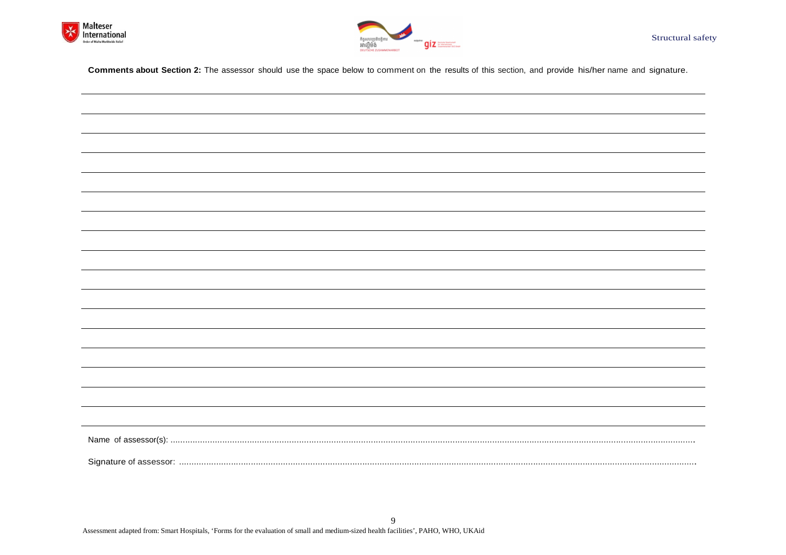



**Comments about Section 2:** The assessor should use the space below to comment on the results of this section, and provide his/her name and signature.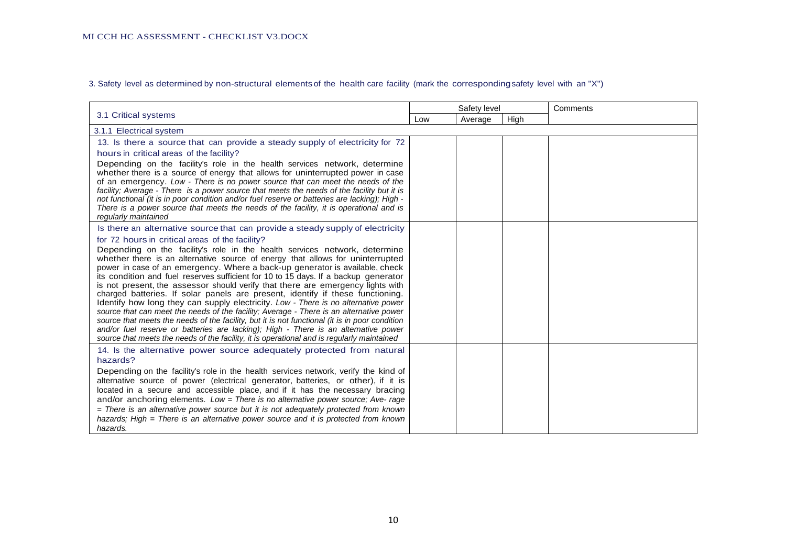3. Safety level as determined by non-structural elements of the health care facility (mark the corresponding safety level with an "X")

|                                                                                                                                                                                                                                                                                                                                                                                                                                                                                                                                                                                                                                                                                                                                                                                                                                                                                                                                                                                                                                                                                                                                               |     | Safety level |      | Comments |
|-----------------------------------------------------------------------------------------------------------------------------------------------------------------------------------------------------------------------------------------------------------------------------------------------------------------------------------------------------------------------------------------------------------------------------------------------------------------------------------------------------------------------------------------------------------------------------------------------------------------------------------------------------------------------------------------------------------------------------------------------------------------------------------------------------------------------------------------------------------------------------------------------------------------------------------------------------------------------------------------------------------------------------------------------------------------------------------------------------------------------------------------------|-----|--------------|------|----------|
| 3.1 Critical systems                                                                                                                                                                                                                                                                                                                                                                                                                                                                                                                                                                                                                                                                                                                                                                                                                                                                                                                                                                                                                                                                                                                          | Low | Average      | High |          |
| 3.1.1 Electrical system                                                                                                                                                                                                                                                                                                                                                                                                                                                                                                                                                                                                                                                                                                                                                                                                                                                                                                                                                                                                                                                                                                                       |     |              |      |          |
| 13. Is there a source that can provide a steady supply of electricity for 72<br>hours in critical areas of the facility?<br>Depending on the facility's role in the health services network, determine<br>whether there is a source of energy that allows for uninterrupted power in case<br>of an emergency. Low - There is no power source that can meet the needs of the<br>facility; Average - There is a power source that meets the needs of the facility but it is<br>not functional (it is in poor condition and/or fuel reserve or batteries are lacking); High -<br>There is a power source that meets the needs of the facility, it is operational and is                                                                                                                                                                                                                                                                                                                                                                                                                                                                          |     |              |      |          |
| regularly maintained<br>Is there an alternative source that can provide a steady supply of electricity<br>for 72 hours in critical areas of the facility?<br>Depending on the facility's role in the health services network, determine<br>whether there is an alternative source of energy that allows for uninterrupted<br>power in case of an emergency. Where a back-up generator is available, check<br>its condition and fuel reserves sufficient for 10 to 15 days. If a backup generator<br>is not present, the assessor should verify that there are emergency lights with<br>charged batteries. If solar panels are present, identify if these functioning.<br>Identify how long they can supply electricity. Low - There is no alternative power<br>source that can meet the needs of the facility; Average - There is an alternative power<br>source that meets the needs of the facility, but it is not functional (it is in poor condition<br>and/or fuel reserve or batteries are lacking); High - There is an alternative power<br>source that meets the needs of the facility, it is operational and is regularly maintained |     |              |      |          |
| 14. Is the alternative power source adequately protected from natural<br>hazards?<br>Depending on the facility's role in the health services network, verify the kind of<br>alternative source of power (electrical generator, batteries, or other), if it is<br>located in a secure and accessible place, and if it has the necessary bracing<br>and/or anchoring elements. Low = There is no alternative power source; Ave- rage<br>$=$ There is an alternative power source but it is not adequately protected from known<br>hazards; High = There is an alternative power source and it is protected from known<br>hazards.                                                                                                                                                                                                                                                                                                                                                                                                                                                                                                               |     |              |      |          |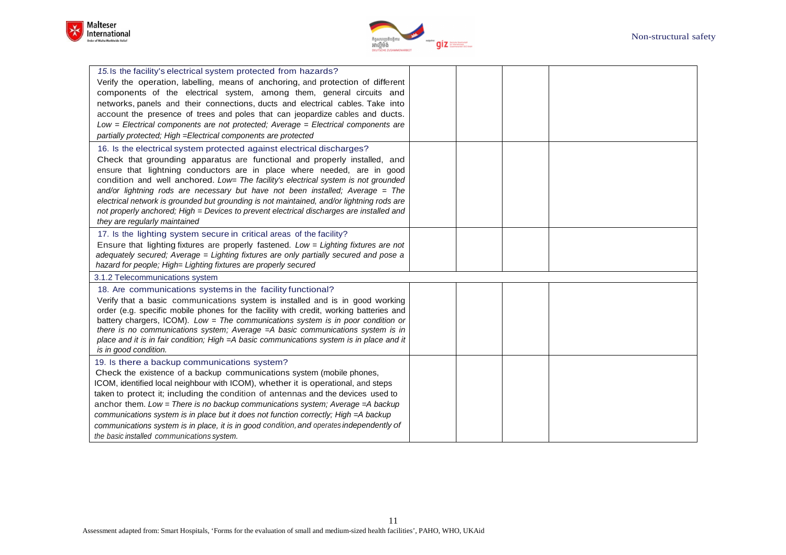



| 15. Is the facility's electrical system protected from hazards?<br>Verify the operation, labelling, means of anchoring, and protection of different<br>components of the electrical system, among them, general circuits and<br>networks, panels and their connections, ducts and electrical cables. Take into<br>account the presence of trees and poles that can jeopardize cables and ducts.<br>Low = Electrical components are not protected; Average = Electrical components are<br>partially protected; High = Electrical components are protected                                                                        |  |  |
|---------------------------------------------------------------------------------------------------------------------------------------------------------------------------------------------------------------------------------------------------------------------------------------------------------------------------------------------------------------------------------------------------------------------------------------------------------------------------------------------------------------------------------------------------------------------------------------------------------------------------------|--|--|
| 16. Is the electrical system protected against electrical discharges?<br>Check that grounding apparatus are functional and properly installed, and<br>ensure that lightning conductors are in place where needed, are in good<br>condition and well anchored. Low= The facility's electrical system is not grounded<br>and/or lightning rods are necessary but have not been installed; Average = The<br>electrical network is grounded but grounding is not maintained, and/or lightning rods are<br>not properly anchored; High = Devices to prevent electrical discharges are installed and<br>they are regularly maintained |  |  |
| 17. Is the lighting system secure in critical areas of the facility?<br>Ensure that lighting fixtures are properly fastened. Low = Lighting fixtures are not<br>adequately secured; Average = Lighting fixtures are only partially secured and pose a<br>hazard for people; High= Lighting fixtures are properly secured                                                                                                                                                                                                                                                                                                        |  |  |
| 3.1.2 Telecommunications system                                                                                                                                                                                                                                                                                                                                                                                                                                                                                                                                                                                                 |  |  |
| 18. Are communications systems in the facility functional?<br>Verify that a basic communications system is installed and is in good working<br>order (e.g. specific mobile phones for the facility with credit, working batteries and<br>battery chargers, ICOM). Low = The communications system is in poor condition or<br>there is no communications system; Average $=A$ basic communications system is in<br>place and it is in fair condition; High = A basic communications system is in place and it<br>is in good condition.                                                                                           |  |  |
| 19. Is there a backup communications system?<br>Check the existence of a backup communications system (mobile phones,<br>ICOM, identified local neighbour with ICOM), whether it is operational, and steps<br>taken to protect it; including the condition of antennas and the devices used to<br>anchor them. Low = There is no backup communications system; Average = $A$ backup<br>communications system is in place but it does not function correctly; High = A backup<br>communications system is in place, it is in good condition, and operates independently of<br>the basic installed communications system.         |  |  |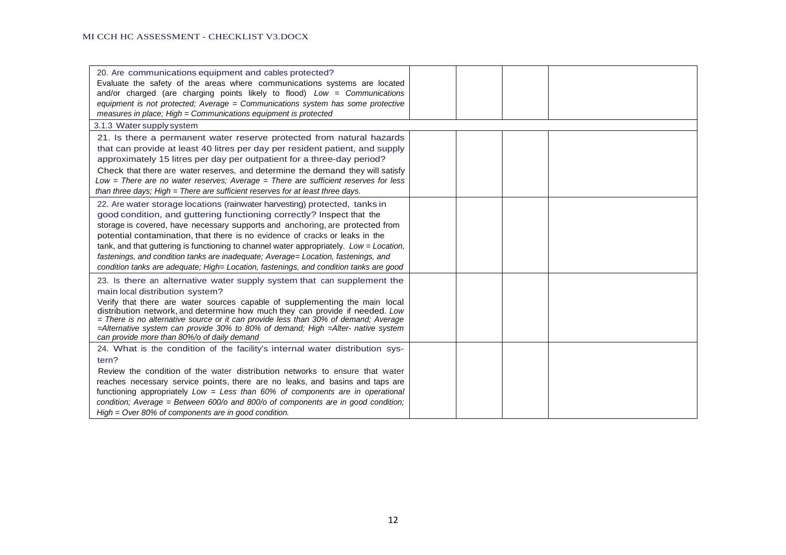| 20. Are communications equipment and cables protected?<br>Evaluate the safety of the areas where communications systems are located<br>and/or charged (are charging points likely to flood) Low = Communications<br>equipment is not protected: Average $=$ Communications system has some protective<br>measures in place; High = Communications equipment is protected                                                                                                                                                                                                                        |  |  |
|-------------------------------------------------------------------------------------------------------------------------------------------------------------------------------------------------------------------------------------------------------------------------------------------------------------------------------------------------------------------------------------------------------------------------------------------------------------------------------------------------------------------------------------------------------------------------------------------------|--|--|
| 3.1.3 Water supply system                                                                                                                                                                                                                                                                                                                                                                                                                                                                                                                                                                       |  |  |
| 21. Is there a permanent water reserve protected from natural hazards<br>that can provide at least 40 litres per day per resident patient, and supply<br>approximately 15 litres per day per outpatient for a three-day period?<br>Check that there are water reserves, and determine the demand they will satisfy<br>$Low = There$ are no water reserves; Average = There are sufficient reserves for less<br>than three days; High $=$ There are sufficient reserves for at least three days.                                                                                                 |  |  |
| 22. Are water storage locations (rainwater harvesting) protected, tanks in<br>good condition, and guttering functioning correctly? Inspect that the<br>storage is covered, have necessary supports and anchoring, are protected from<br>potential contamination, that there is no evidence of cracks or leaks in the<br>tank, and that guttering is functioning to channel water appropriately. Low = Location,<br>fastenings, and condition tanks are inadequate; Average= Location, fastenings, and<br>condition tanks are adequate; High= Location, fastenings, and condition tanks are good |  |  |
| 23. Is there an alternative water supply system that can supplement the<br>main local distribution system?<br>Verify that there are water sources capable of supplementing the main local<br>distribution network, and determine how much they can provide if needed. Low<br>= There is no alternative source or it can provide less than 30% of demand; Average<br>$=$ Alternative system can provide 30% to 80% of demand; High $=$ Alter- native system<br>can provide more than 80%/o of daily demand                                                                                       |  |  |
| 24. What is the condition of the facility's internal water distribution sys-<br>tern?<br>Review the condition of the water distribution networks to ensure that water<br>reaches necessary service points, there are no leaks, and basins and taps are<br>functioning appropriately $Low = Less$ than 60% of components are in operational<br>condition; Average = Between 600/o and 800/o of components are in good condition;<br>High = Over 80% of components are in good condition.                                                                                                         |  |  |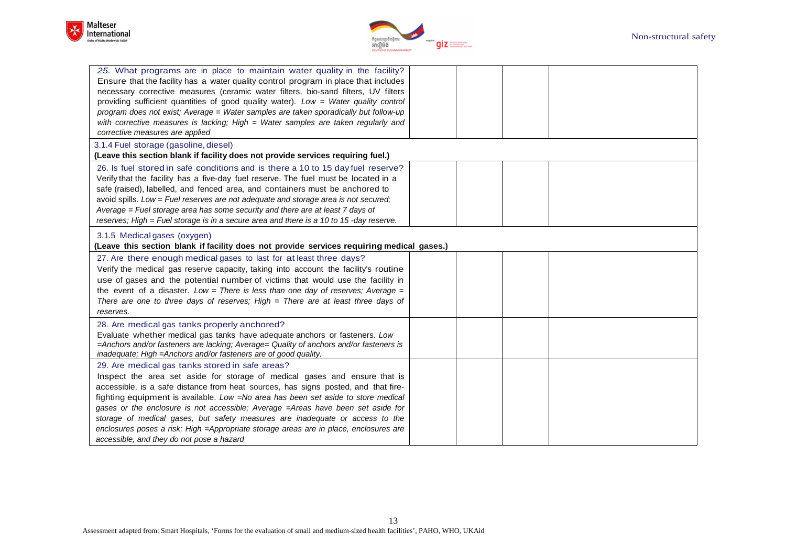



| 25. What programs are in place to maintain water quality in the facility?                 |  |  |
|-------------------------------------------------------------------------------------------|--|--|
| Ensure that the facility has a water quality control program in place that includes       |  |  |
| necessary corrective measures (ceramic water filters, bio-sand filters, UV filters        |  |  |
| providing sufficient quantities of good quality water). Low = Water quality control       |  |  |
| program does not exist; Average = Water samples are taken sporadically but follow-up      |  |  |
| with corrective measures is lacking; High $=$ Water samples are taken regularly and       |  |  |
| corrective measures are applied                                                           |  |  |
| 3.1.4 Fuel storage (gasoline, diesel)                                                     |  |  |
| (Leave this section blank if facility does not provide services requiring fuel.)          |  |  |
| 26. Is fuel stored in safe conditions and is there a 10 to 15 day fuel reserve?           |  |  |
| Verify that the facility has a five-day fuel reserve. The fuel must be located in a       |  |  |
| safe (raised), labelled, and fenced area, and containers must be anchored to              |  |  |
| avoid spills. Low = Fuel reserves are not adequate and storage area is not secured;       |  |  |
| Average = Fuel storage area has some security and there are at least 7 days of            |  |  |
| reserves; High = Fuel storage is in a secure area and there is a 10 to 15 -day reserve.   |  |  |
| 3.1.5 Medical gases (oxygen)                                                              |  |  |
| (Leave this section blank if facility does not provide services requiring medical gases.) |  |  |
| 27. Are there enough medical gases to last for at least three days?                       |  |  |
| Verify the medical gas reserve capacity, taking into account the facility's routine       |  |  |
|                                                                                           |  |  |
| use of gases and the potential number of victims that would use the facility in           |  |  |
| the event of a disaster. Low = There is less than one day of reserves; Average =          |  |  |
| There are one to three days of reserves; High $=$ There are at least three days of        |  |  |
| reserves.                                                                                 |  |  |
| 28. Are medical gas tanks properly anchored?                                              |  |  |
| Evaluate whether medical gas tanks have adequate anchors or fasteners. Low                |  |  |
| =Anchors and/or fasteners are lacking; Average= Quality of anchors and/or fasteners is    |  |  |
| inadequate; High = Anchors and/or fasteners are of good quality.                          |  |  |
| 29. Are medical gas tanks stored in safe areas?                                           |  |  |
| Inspect the area set aside for storage of medical gases and ensure that is                |  |  |
| accessible, is a safe distance from heat sources, has signs posted, and that fire-        |  |  |
| fighting equipment is available. Low =No area has been set aside to store medical         |  |  |
| gases or the enclosure is not accessible; Average = Areas have been set aside for         |  |  |
| storage of medical gases, but safety measures are inadequate or access to the             |  |  |
| enclosures poses a risk; High = Appropriate storage areas are in place, enclosures are    |  |  |
| accessible, and they do not pose a hazard                                                 |  |  |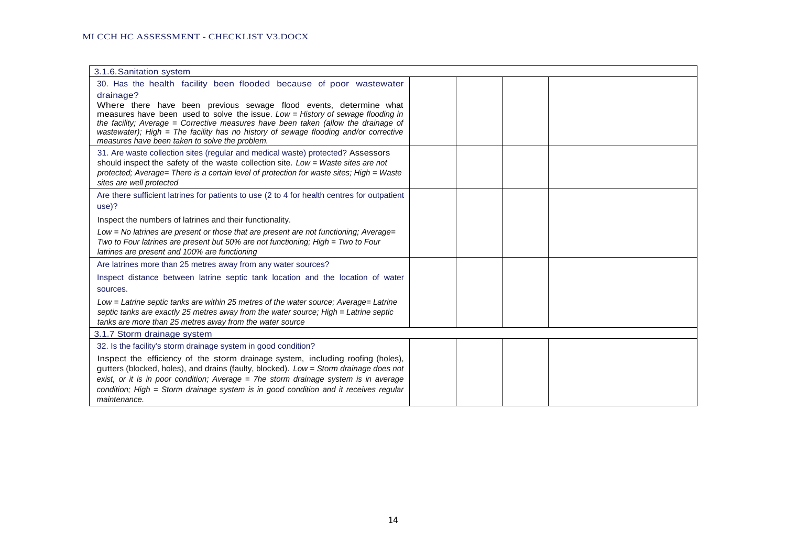| 3.1.6. Sanitation system                                                                                                                                             |  |
|----------------------------------------------------------------------------------------------------------------------------------------------------------------------|--|
| 30. Has the health facility been flooded because of poor wastewater                                                                                                  |  |
| drainage?                                                                                                                                                            |  |
| Where there have been previous sewage flood events, determine what<br>measures have been used to solve the issue. Low = History of sewage flooding in                |  |
| the facility; Average = Corrective measures have been taken (allow the drainage of                                                                                   |  |
| wastewater); High = The facility has no history of sewage flooding and/or corrective                                                                                 |  |
| measures have been taken to solve the problem.                                                                                                                       |  |
| 31. Are waste collection sites (regular and medical waste) protected? Assessors<br>should inspect the safety of the waste collection site. Low = Waste sites are not |  |
| protected; Average= There is a certain level of protection for waste sites; High = Waste                                                                             |  |
| sites are well protected                                                                                                                                             |  |
| Are there sufficient latrines for patients to use (2 to 4 for health centres for outpatient                                                                          |  |
| use)?                                                                                                                                                                |  |
| Inspect the numbers of latrines and their functionality.                                                                                                             |  |
| Low = No latrines are present or those that are present are not functioning; Average=                                                                                |  |
| Two to Four latrines are present but 50% are not functioning; High = Two to Four                                                                                     |  |
| latrines are present and 100% are functioning                                                                                                                        |  |
| Are latrines more than 25 metres away from any water sources?                                                                                                        |  |
| Inspect distance between latrine septic tank location and the location of water                                                                                      |  |
| sources.                                                                                                                                                             |  |
| Low = Latrine septic tanks are within 25 metres of the water source; Average= Latrine                                                                                |  |
| septic tanks are exactly 25 metres away from the water source; High = Latrine septic<br>tanks are more than 25 metres away from the water source                     |  |
| 3.1.7 Storm drainage system                                                                                                                                          |  |
| 32. Is the facility's storm drainage system in good condition?                                                                                                       |  |
| Inspect the efficiency of the storm drainage system, including roofing (holes),                                                                                      |  |
| gutters (blocked, holes), and drains (faulty, blocked). Low = Storm drainage does not                                                                                |  |
| exist, or it is in poor condition; Average $=$ 7he storm drainage system is in average                                                                               |  |
| condition; High = Storm drainage system is in good condition and it receives regular                                                                                 |  |
| maintenance.                                                                                                                                                         |  |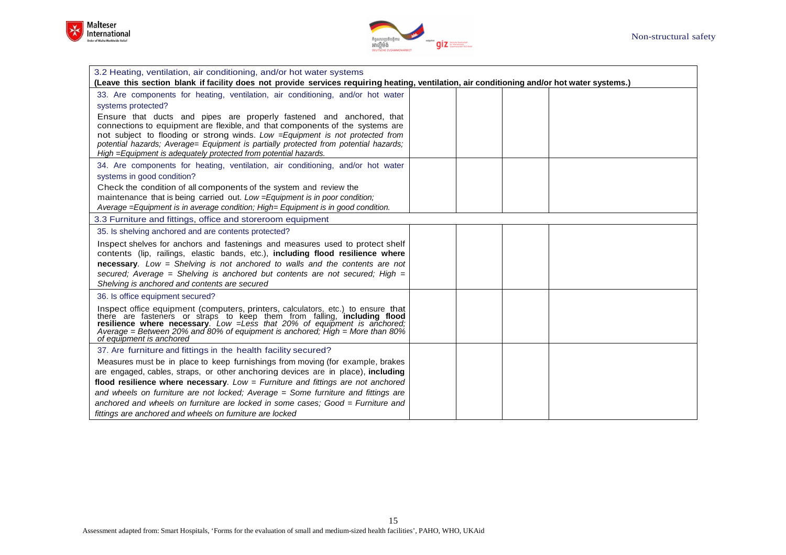



| 3.2 Heating, ventilation, air conditioning, and/or hot water systems                                                                                                                                                                                                                                                                                                                                |  |  |
|-----------------------------------------------------------------------------------------------------------------------------------------------------------------------------------------------------------------------------------------------------------------------------------------------------------------------------------------------------------------------------------------------------|--|--|
| (Leave this section blank if facility does not provide services requiring heating, ventilation, air conditioning and/or hot water systems.)                                                                                                                                                                                                                                                         |  |  |
| 33. Are components for heating, ventilation, air conditioning, and/or hot water                                                                                                                                                                                                                                                                                                                     |  |  |
| systems protected?                                                                                                                                                                                                                                                                                                                                                                                  |  |  |
| Ensure that ducts and pipes are properly fastened and anchored, that<br>connections to equipment are flexible, and that components of the systems are<br>not subject to flooding or strong winds. Low = Equipment is not protected from<br>potential hazards; Average= Equipment is partially protected from potential hazards;<br>High = Equipment is adequately protected from potential hazards. |  |  |
| 34. Are components for heating, ventilation, air conditioning, and/or hot water<br>systems in good condition?                                                                                                                                                                                                                                                                                       |  |  |
| Check the condition of all components of the system and review the<br>maintenance that is being carried out. Low = Equipment is in poor condition;<br>Average = Equipment is in average condition; High = Equipment is in good condition.                                                                                                                                                           |  |  |
| 3.3 Furniture and fittings, office and storeroom equipment                                                                                                                                                                                                                                                                                                                                          |  |  |
| 35. Is shelving anchored and are contents protected?                                                                                                                                                                                                                                                                                                                                                |  |  |
| Inspect shelves for anchors and fastenings and measures used to protect shelf<br>contents (lip, railings, elastic bands, etc.), including flood resilience where<br><b>necessary.</b> Low = Shelving is not anchored to walls and the contents are not<br>secured; Average = Shelving is anchored but contents are not secured; High =<br>Shelving is anchored and contents are secured             |  |  |
| 36. Is office equipment secured?                                                                                                                                                                                                                                                                                                                                                                    |  |  |
| Inspect office equipment (computers, printers, calculators, etc.) to ensure that<br>there are fasteners or straps to keep them from falling, <b>including flood</b><br>resilience where necessary. Low = Less that 20% of equipment is an<br>Average = Between 20% and 80% of equipment is anchored; High = More than 80%<br>of equipment is anchored                                               |  |  |
| 37. Are furniture and fittings in the health facility secured?                                                                                                                                                                                                                                                                                                                                      |  |  |
| Measures must be in place to keep furnishings from moving (for example, brakes<br>are engaged, cables, straps, or other anchoring devices are in place), including<br>flood resilience where necessary. Low = Furniture and fittings are not anchored                                                                                                                                               |  |  |
| and wheels on furniture are not locked; Average = Some furniture and fittings are                                                                                                                                                                                                                                                                                                                   |  |  |
| anchored and wheels on furniture are locked in some cases: Good = Furniture and                                                                                                                                                                                                                                                                                                                     |  |  |
| fittings are anchored and wheels on furniture are locked                                                                                                                                                                                                                                                                                                                                            |  |  |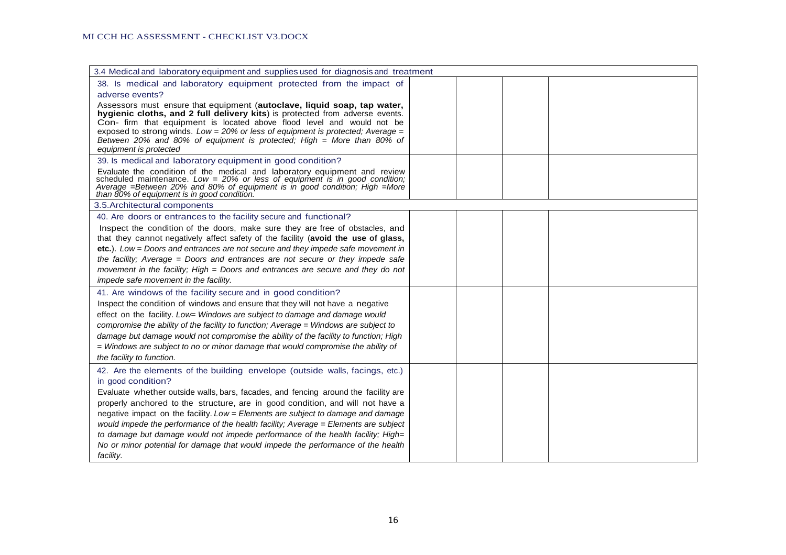| 3.4 Medical and laboratory equipment and supplies used for diagnosis and treatment                                                                                                                                                                                                                                                                                                                                           |  |  |
|------------------------------------------------------------------------------------------------------------------------------------------------------------------------------------------------------------------------------------------------------------------------------------------------------------------------------------------------------------------------------------------------------------------------------|--|--|
| 38. Is medical and laboratory equipment protected from the impact of                                                                                                                                                                                                                                                                                                                                                         |  |  |
| adverse events?                                                                                                                                                                                                                                                                                                                                                                                                              |  |  |
| Assessors must ensure that equipment (autoclave, liquid soap, tap water,<br>hygienic cloths, and 2 full delivery kits) is protected from adverse events.<br>Con- firm that equipment is located above flood level and would not be<br>exposed to strong winds. $Low = 20\%$ or less of equipment is protected; Average =<br>Between 20% and 80% of equipment is protected; High = More than 80% of<br>equipment is protected |  |  |
| 39. Is medical and laboratory equipment in good condition?                                                                                                                                                                                                                                                                                                                                                                   |  |  |
| Evaluate the condition of the medical and laboratory equipment and review scheduled maintenance. $Low = 20%$ or less of equipment is in good condition;<br>Average =Between 20% and 80% of equipment is in good condition; High =More than 80% of equipment is in good condition.                                                                                                                                            |  |  |
| 3.5. Architectural components                                                                                                                                                                                                                                                                                                                                                                                                |  |  |
| 40. Are doors or entrances to the facility secure and functional?                                                                                                                                                                                                                                                                                                                                                            |  |  |
| Inspect the condition of the doors, make sure they are free of obstacles, and                                                                                                                                                                                                                                                                                                                                                |  |  |
| that they cannot negatively affect safety of the facility (avoid the use of glass,                                                                                                                                                                                                                                                                                                                                           |  |  |
| etc.). Low = Doors and entrances are not secure and they impede safe movement in                                                                                                                                                                                                                                                                                                                                             |  |  |
| the facility; Average $=$ Doors and entrances are not secure or they impede safe                                                                                                                                                                                                                                                                                                                                             |  |  |
| movement in the facility; High = Doors and entrances are secure and they do not                                                                                                                                                                                                                                                                                                                                              |  |  |
| impede safe movement in the facility.                                                                                                                                                                                                                                                                                                                                                                                        |  |  |
| 41. Are windows of the facility secure and in good condition?                                                                                                                                                                                                                                                                                                                                                                |  |  |
| Inspect the condition of windows and ensure that they will not have a negative                                                                                                                                                                                                                                                                                                                                               |  |  |
| effect on the facility. Low= Windows are subject to damage and damage would                                                                                                                                                                                                                                                                                                                                                  |  |  |
| compromise the ability of the facility to function; Average = Windows are subject to                                                                                                                                                                                                                                                                                                                                         |  |  |
| damage but damage would not compromise the ability of the facility to function; High                                                                                                                                                                                                                                                                                                                                         |  |  |
| $=$ Windows are subject to no or minor damage that would compromise the ability of                                                                                                                                                                                                                                                                                                                                           |  |  |
| the facility to function.                                                                                                                                                                                                                                                                                                                                                                                                    |  |  |
| 42. Are the elements of the building envelope (outside walls, facings, etc.)<br>in good condition?                                                                                                                                                                                                                                                                                                                           |  |  |
| Evaluate whether outside walls, bars, facades, and fencing around the facility are                                                                                                                                                                                                                                                                                                                                           |  |  |
| properly anchored to the structure, are in good condition, and will not have a                                                                                                                                                                                                                                                                                                                                               |  |  |
| negative impact on the facility. Low = Elements are subject to damage and damage                                                                                                                                                                                                                                                                                                                                             |  |  |
| would impede the performance of the health facility; Average = Elements are subject                                                                                                                                                                                                                                                                                                                                          |  |  |
| to damage but damage would not impede performance of the health facility; High=                                                                                                                                                                                                                                                                                                                                              |  |  |
| No or minor potential for damage that would impede the performance of the health                                                                                                                                                                                                                                                                                                                                             |  |  |
| facility.                                                                                                                                                                                                                                                                                                                                                                                                                    |  |  |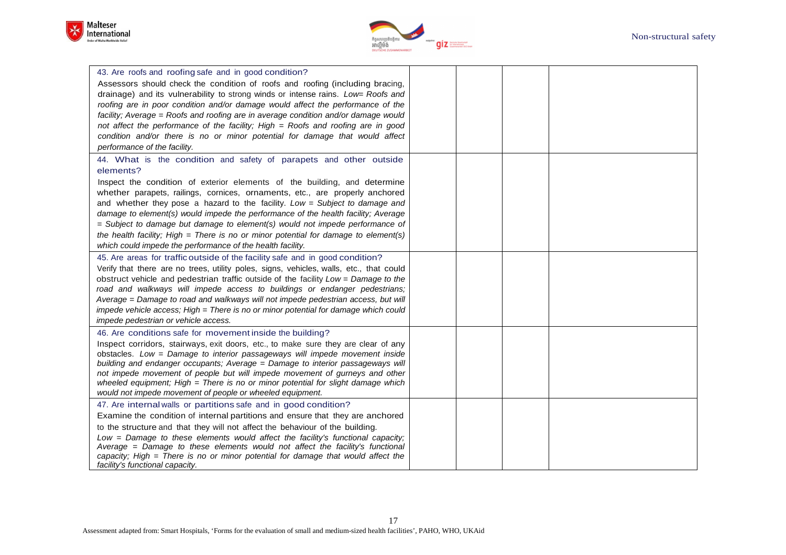



| 43. Are roofs and roofing safe and in good condition?<br>Assessors should check the condition of roofs and roofing (including bracing,<br>drainage) and its vulnerability to strong winds or intense rains. Low= Roofs and<br>roofing are in poor condition and/or damage would affect the performance of the<br>facility; Average = Roofs and roofing are in average condition and/or damage would<br>not affect the performance of the facility; High = Roofs and roofing are in good<br>condition and/or there is no or minor potential for damage that would affect<br>performance of the facility.                                                 |  |  |
|---------------------------------------------------------------------------------------------------------------------------------------------------------------------------------------------------------------------------------------------------------------------------------------------------------------------------------------------------------------------------------------------------------------------------------------------------------------------------------------------------------------------------------------------------------------------------------------------------------------------------------------------------------|--|--|
| 44. What is the condition and safety of parapets and other outside<br>elements?<br>Inspect the condition of exterior elements of the building, and determine<br>whether parapets, railings, cornices, ornaments, etc., are properly anchored<br>and whether they pose a hazard to the facility. Low = Subject to damage and<br>damage to element(s) would impede the performance of the health facility; Average<br>$=$ Subject to damage but damage to element(s) would not impede performance of<br>the health facility; High = There is no or minor potential for damage to element(s)<br>which could impede the performance of the health facility. |  |  |
| 45. Are areas for traffic outside of the facility safe and in good condition?<br>Verify that there are no trees, utility poles, signs, vehicles, walls, etc., that could<br>obstruct vehicle and pedestrian traffic outside of the facility Low = Damage to the<br>road and walkways will impede access to buildings or endanger pedestrians;<br>Average = Damage to road and walkways will not impede pedestrian access, but will<br>impede vehicle access; High = There is no or minor potential for damage which could<br>impede pedestrian or vehicle access.                                                                                       |  |  |
| 46. Are conditions safe for movement inside the building?<br>Inspect corridors, stairways, exit doors, etc., to make sure they are clear of any<br>obstacles. Low = Damage to interior passageways will impede movement inside<br>building and endanger occupants; Average = Damage to interior passageways will<br>not impede movement of people but will impede movement of gurneys and other<br>wheeled equipment; High $=$ There is no or minor potential for slight damage which<br>would not impede movement of people or wheeled equipment.                                                                                                      |  |  |
| 47. Are internal walls or partitions safe and in good condition?<br>Examine the condition of internal partitions and ensure that they are anchored<br>to the structure and that they will not affect the behaviour of the building.<br>Low = Damage to these elements would affect the facility's functional capacity;<br>Average = Damage to these elements would not affect the facility's functional<br>capacity; High = There is no or minor potential for damage that would affect the<br>facility's functional capacity.                                                                                                                          |  |  |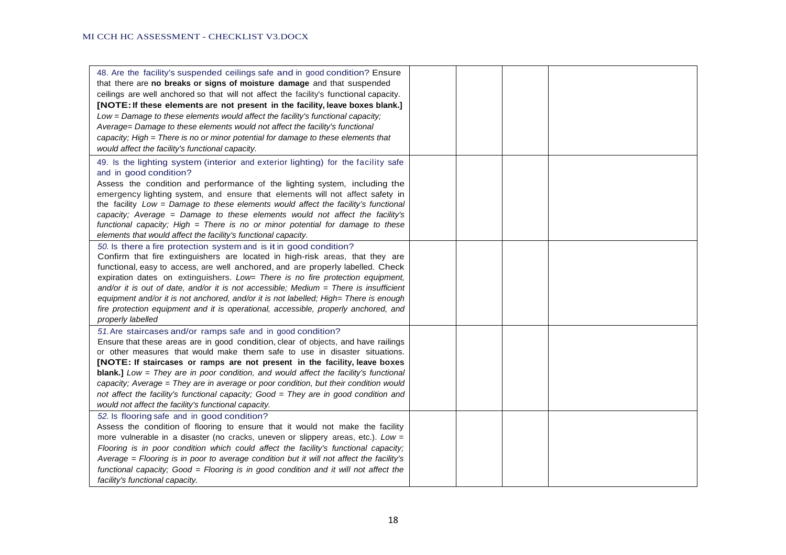| 48. Are the facility's suspended ceilings safe and in good condition? Ensure<br>that there are no breaks or signs of moisture damage and that suspended<br>ceilings are well anchored so that will not affect the facility's functional capacity.<br>[NOTE: If these elements are not present in the facility, leave boxes blank.]<br>Low = Damage to these elements would affect the facility's functional capacity;<br>Average= Damage to these elements would not affect the facility's functional<br>capacity; High = There is no or minor potential for damage to these elements that<br>would affect the facility's functional capacity.       |  |  |
|------------------------------------------------------------------------------------------------------------------------------------------------------------------------------------------------------------------------------------------------------------------------------------------------------------------------------------------------------------------------------------------------------------------------------------------------------------------------------------------------------------------------------------------------------------------------------------------------------------------------------------------------------|--|--|
| 49. Is the lighting system (interior and exterior lighting) for the facility safe<br>and in good condition?<br>Assess the condition and performance of the lighting system, including the<br>emergency lighting system, and ensure that elements will not affect safety in<br>the facility Low = Damage to these elements would affect the facility's functional<br>capacity; Average = Damage to these elements would not affect the facility's<br>functional capacity; High = There is no or minor potential for damage to these<br>elements that would affect the facility's functional capacity.                                                 |  |  |
| 50. Is there a fire protection system and is it in good condition?<br>Confirm that fire extinguishers are located in high-risk areas, that they are<br>functional, easy to access, are well anchored, and are properly labelled. Check<br>expiration dates on extinguishers. Low= There is no fire protection equipment,<br>and/or it is out of date, and/or it is not accessible; Medium $=$ There is insufficient<br>equipment and/or it is not anchored, and/or it is not labelled; High= There is enough<br>fire protection equipment and it is operational, accessible, properly anchored, and<br>properly labelled                             |  |  |
| 51. Are staircases and/or ramps safe and in good condition?<br>Ensure that these areas are in good condition, clear of objects, and have railings<br>or other measures that would make them safe to use in disaster situations.<br>[NOTE: If staircases or ramps are not present in the facility, leave boxes<br><b>blank.]</b> Low = They are in poor condition, and would affect the facility's functional<br>capacity; Average = They are in average or poor condition, but their condition would<br>not affect the facility's functional capacity; Good = They are in good condition and<br>would not affect the facility's functional capacity. |  |  |
| 52. Is flooring safe and in good condition?<br>Assess the condition of flooring to ensure that it would not make the facility<br>more vulnerable in a disaster (no cracks, uneven or slippery areas, etc.). $Low =$<br>Flooring is in poor condition which could affect the facility's functional capacity;<br>Average = Flooring is in poor to average condition but it will not affect the facility's<br>functional capacity; Good = Flooring is in good condition and it will not affect the<br>facility's functional capacity.                                                                                                                   |  |  |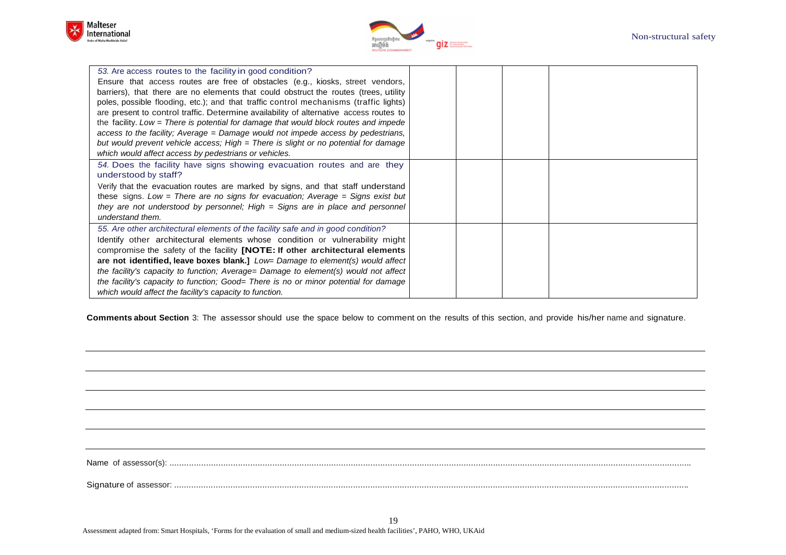



| 53. Are access routes to the facility in good condition?                               |  |  |
|----------------------------------------------------------------------------------------|--|--|
| Ensure that access routes are free of obstacles (e.g., kiosks, street vendors,         |  |  |
| barriers), that there are no elements that could obstruct the routes (trees, utility   |  |  |
| poles, possible flooding, etc.); and that traffic control mechanisms (traffic lights)  |  |  |
| are present to control traffic. Determine availability of alternative access routes to |  |  |
| the facility. Low $=$ There is potential for damage that would block routes and impede |  |  |
| access to the facility; Average = Damage would not impede access by pedestrians,       |  |  |
| but would prevent vehicle access; High = There is slight or no potential for damage    |  |  |
| which would affect access by pedestrians or vehicles.                                  |  |  |
| 54. Does the facility have signs showing evacuation routes and are they                |  |  |
| understood by staff?                                                                   |  |  |
| Verify that the evacuation routes are marked by signs, and that staff understand       |  |  |
| these signs. Low = There are no signs for evacuation; Average = Signs exist but        |  |  |
| they are not understood by personnel; High $=$ Signs are in place and personnel        |  |  |
| understand them.                                                                       |  |  |
| 55. Are other architectural elements of the facility safe and in good condition?       |  |  |
| Identify other architectural elements whose condition or vulnerability might           |  |  |
| compromise the safety of the facility <b>[NOTE: If other architectural elements</b>    |  |  |
| are not identified, leave boxes blank.] $Low= Damage$ to element(s) would affect       |  |  |
| the facility's capacity to function; Average= Damage to element(s) would not affect    |  |  |
| the facility's capacity to function; Good= There is no or minor potential for damage   |  |  |
| which would affect the facility's capacity to function.                                |  |  |

**Comments about Section** 3: The assessor should use the space below to comment on the results of this section, and provide his/her name and signature.

Name of assessor(s): .....................................................................................................................................................................................................................

Signature of assessor: ..................................................................................................................................................................................................................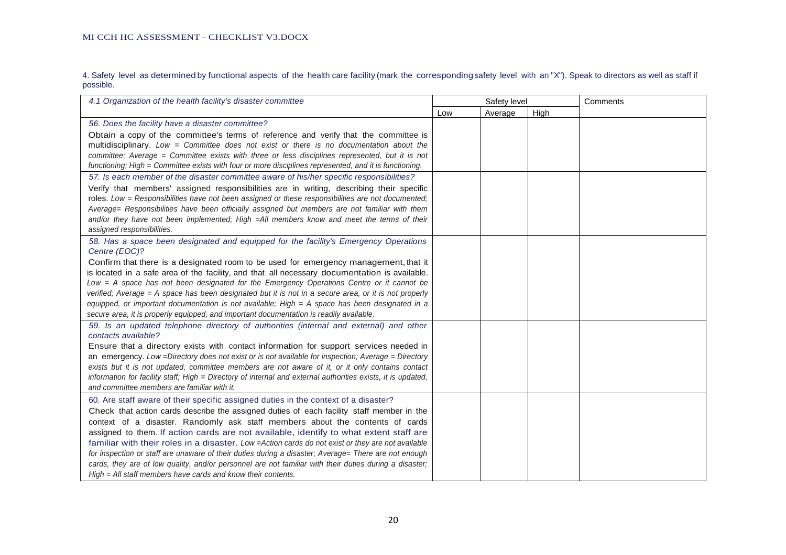4. Safety level as determined by functional aspects of the health care facility (mark the corresponding safety level with an "X"). Speak to directors as well as staff if possible.

| 4.1 Organization of the health facility's disaster committee                                                                                                                                            | Safety level |         |      | Comments |
|---------------------------------------------------------------------------------------------------------------------------------------------------------------------------------------------------------|--------------|---------|------|----------|
|                                                                                                                                                                                                         | Low          | Average | High |          |
| 56. Does the facility have a disaster committee?                                                                                                                                                        |              |         |      |          |
| Obtain a copy of the committee's terms of reference and verify that the committee is                                                                                                                    |              |         |      |          |
| multidisciplinary. Low = Committee does not exist or there is no documentation about the                                                                                                                |              |         |      |          |
| committee; Average = Committee exists with three or less disciplines represented, but it is not                                                                                                         |              |         |      |          |
| functioning; High = Committee exists with four or more disciplines represented, and it is functioning.                                                                                                  |              |         |      |          |
| 57. Is each member of the disaster committee aware of his/her specific responsibilities?                                                                                                                |              |         |      |          |
| Verify that members' assigned responsibilities are in writing, describing their specific                                                                                                                |              |         |      |          |
| roles. Low = Responsibilities have not been assigned or these responsibilities are not documented;                                                                                                      |              |         |      |          |
| Average= Responsibilities have been officially assigned but members are not familiar with them                                                                                                          |              |         |      |          |
| and/or they have not been implemented; High =All members know and meet the terms of their                                                                                                               |              |         |      |          |
| assigned responsibilities.                                                                                                                                                                              |              |         |      |          |
| 58. Has a space been designated and equipped for the facility's Emergency Operations                                                                                                                    |              |         |      |          |
| Centre (EOC)?                                                                                                                                                                                           |              |         |      |          |
| Confirm that there is a designated room to be used for emergency management, that it                                                                                                                    |              |         |      |          |
| is located in a safe area of the facility, and that all necessary documentation is available.                                                                                                           |              |         |      |          |
| Low = A space has not been designated for the Emergency Operations Centre or it cannot be                                                                                                               |              |         |      |          |
| verified; Average = A space has been designated but it is not in a secure area, or it is not properly                                                                                                   |              |         |      |          |
| equipped, or important documentation is not available; High = A space has been designated in a                                                                                                          |              |         |      |          |
| secure area, it is properly equipped, and important documentation is readily available.                                                                                                                 |              |         |      |          |
| 59. Is an updated telephone directory of authorities (internal and external) and other<br>contacts available?                                                                                           |              |         |      |          |
|                                                                                                                                                                                                         |              |         |      |          |
| Ensure that a directory exists with contact information for support services needed in                                                                                                                  |              |         |      |          |
| an emergency. Low =Directory does not exist or is not available for inspection; Average = Directory<br>exists but it is not updated, committee members are not aware of it, or it only contains contact |              |         |      |          |
| information for facility staff; High = Directory of internal and external authorities exists, it is updated,                                                                                            |              |         |      |          |
| and committee members are familiar with it.                                                                                                                                                             |              |         |      |          |
|                                                                                                                                                                                                         |              |         |      |          |
| 60. Are staff aware of their specific assigned duties in the context of a disaster?                                                                                                                     |              |         |      |          |
| Check that action cards describe the assigned duties of each facility staff member in the                                                                                                               |              |         |      |          |
| context of a disaster. Randomly ask staff members about the contents of cards                                                                                                                           |              |         |      |          |
| assigned to them. If action cards are not available, identify to what extent staff are                                                                                                                  |              |         |      |          |
| familiar with their roles in a disaster. Low = Action cards do not exist or they are not available                                                                                                      |              |         |      |          |
| for inspection or staff are unaware of their duties during a disaster; Average= There are not enough                                                                                                    |              |         |      |          |
| cards, they are of low quality, and/or personnel are not familiar with their duties during a disaster;                                                                                                  |              |         |      |          |
| $High = All staff members have cards and know their contents.$                                                                                                                                          |              |         |      |          |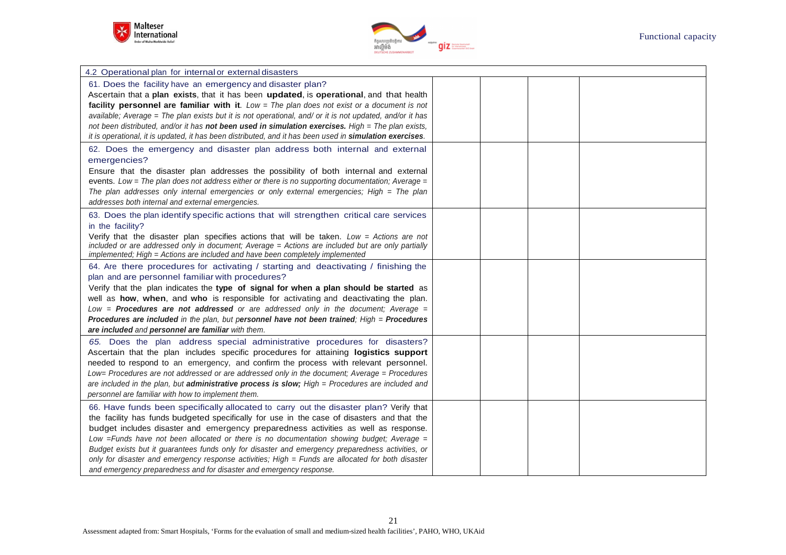



| 4.2 Operational plan for internal or external disasters                                                  |  |  |
|----------------------------------------------------------------------------------------------------------|--|--|
| 61. Does the facility have an emergency and disaster plan?                                               |  |  |
| Ascertain that a plan exists, that it has been updated, is operational, and that health                  |  |  |
| facility personnel are familiar with it. Low = The plan does not exist or a document is not              |  |  |
| available; Average = The plan exists but it is not operational, and/ or it is not updated, and/or it has |  |  |
| not been distributed, and/or it has not been used in simulation exercises. High = The plan exists,       |  |  |
| it is operational, it is updated, it has been distributed, and it has been used in simulation exercises. |  |  |
| 62. Does the emergency and disaster plan address both internal and external                              |  |  |
| emergencies?                                                                                             |  |  |
| Ensure that the disaster plan addresses the possibility of both internal and external                    |  |  |
| events. Low = The plan does not address either or there is no supporting documentation; Average =        |  |  |
| The plan addresses only internal emergencies or only external emergencies; High $=$ The plan             |  |  |
| addresses both internal and external emergencies.                                                        |  |  |
| 63. Does the plan identify specific actions that will strengthen critical care services                  |  |  |
| in the facility?                                                                                         |  |  |
| Verify that the disaster plan specifies actions that will be taken. Low = Actions are not                |  |  |
| included or are addressed only in document; Average = Actions are included but are only partially        |  |  |
| implemented; High = Actions are included and have been completely implemented                            |  |  |
| 64. Are there procedures for activating / starting and deactivating / finishing the                      |  |  |
| plan and are personnel familiar with procedures?                                                         |  |  |
| Verify that the plan indicates the type of signal for when a plan should be started as                   |  |  |
| well as how, when, and who is responsible for activating and deactivating the plan.                      |  |  |
| Low = <b>Procedures are not addressed</b> or are addressed only in the document; Average =               |  |  |
| Procedures are included in the plan, but personnel have not been trained; $High =$ Procedures            |  |  |
| are included and personnel are familiar with them.                                                       |  |  |
| 65. Does the plan address special administrative procedures for disasters?                               |  |  |
| Ascertain that the plan includes specific procedures for attaining logistics support                     |  |  |
| needed to respond to an emergency, and confirm the process with relevant personnel.                      |  |  |
| Low= Procedures are not addressed or are addressed only in the document; Average = Procedures            |  |  |
| are included in the plan, but administrative process is slow; High = Procedures are included and         |  |  |
| personnel are familiar with how to implement them.                                                       |  |  |
| 66. Have funds been specifically allocated to carry out the disaster plan? Verify that                   |  |  |
| the facility has funds budgeted specifically for use in the case of disasters and that the               |  |  |
| budget includes disaster and emergency preparedness activities as well as response.                      |  |  |
| Low $=$ Funds have not been allocated or there is no documentation showing budget; Average $=$           |  |  |
| Budget exists but it guarantees funds only for disaster and emergency preparedness activities, or        |  |  |
| only for disaster and emergency response activities; High = Funds are allocated for both disaster        |  |  |
| and emergency preparedness and for disaster and emergency response.                                      |  |  |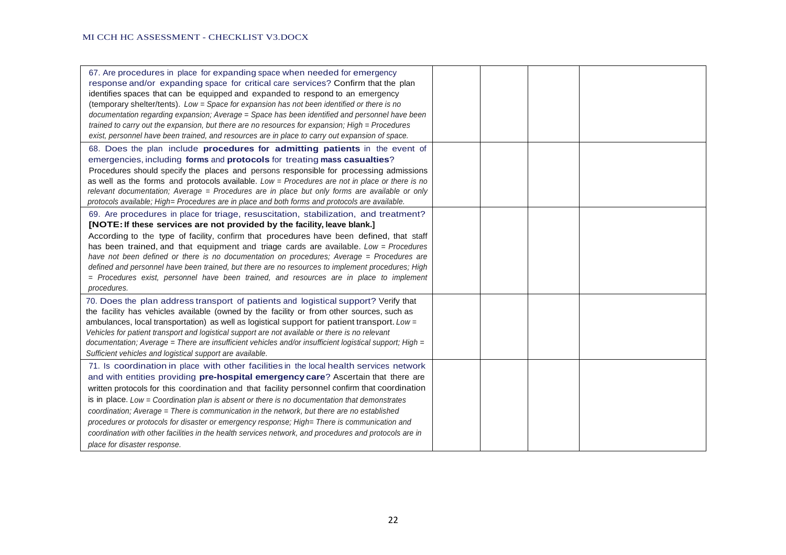| 67. Are procedures in place for expanding space when needed for emergency<br>response and/or expanding space for critical care services? Confirm that the plan<br>identifies spaces that can be equipped and expanded to respond to an emergency<br>(temporary shelter/tents). Low = Space for expansion has not been identified or there is no<br>documentation regarding expansion; Average = Space has been identified and personnel have been<br>trained to carry out the expansion, but there are no resources for expansion; High = Procedures<br>exist, personnel have been trained, and resources are in place to carry out expansion of space.                                                                 |  |  |
|-------------------------------------------------------------------------------------------------------------------------------------------------------------------------------------------------------------------------------------------------------------------------------------------------------------------------------------------------------------------------------------------------------------------------------------------------------------------------------------------------------------------------------------------------------------------------------------------------------------------------------------------------------------------------------------------------------------------------|--|--|
| 68. Does the plan include procedures for admitting patients in the event of<br>emergencies, including forms and protocols for treating mass casualties?<br>Procedures should specify the places and persons responsible for processing admissions<br>as well as the forms and protocols available. $Low = Procedure$ are not in place or there is no<br>relevant documentation; Average = Procedures are in place but only forms are available or only<br>protocols available; High= Procedures are in place and both forms and protocols are available.                                                                                                                                                                |  |  |
| 69. Are procedures in place for triage, resuscitation, stabilization, and treatment?<br>[NOTE: If these services are not provided by the facility, leave blank.]<br>According to the type of facility, confirm that procedures have been defined, that staff<br>has been trained, and that equipment and triage cards are available. Low = Procedures<br>have not been defined or there is no documentation on procedures; Average = Procedures are<br>defined and personnel have been trained, but there are no resources to implement procedures; High<br>= Procedures exist, personnel have been trained, and resources are in place to implement<br>procedures.                                                     |  |  |
| 70. Does the plan address transport of patients and logistical support? Verify that<br>the facility has vehicles available (owned by the facility or from other sources, such as<br>ambulances, local transportation) as well as logistical support for patient transport. Low =<br>Vehicles for patient transport and logistical support are not available or there is no relevant<br>documentation; Average = There are insufficient vehicles and/or insufficient logistical support; High =<br>Sufficient vehicles and logistical support are available.                                                                                                                                                             |  |  |
| 71. Is coordination in place with other facilities in the local health services network<br>and with entities providing pre-hospital emergency care? Ascertain that there are<br>written protocols for this coordination and that facility personnel confirm that coordination<br>is in place. Low = Coordination plan is absent or there is no documentation that demonstrates<br>coordination; Average = There is communication in the network, but there are no established<br>procedures or protocols for disaster or emergency response; High= There is communication and<br>coordination with other facilities in the health services network, and procedures and protocols are in<br>place for disaster response. |  |  |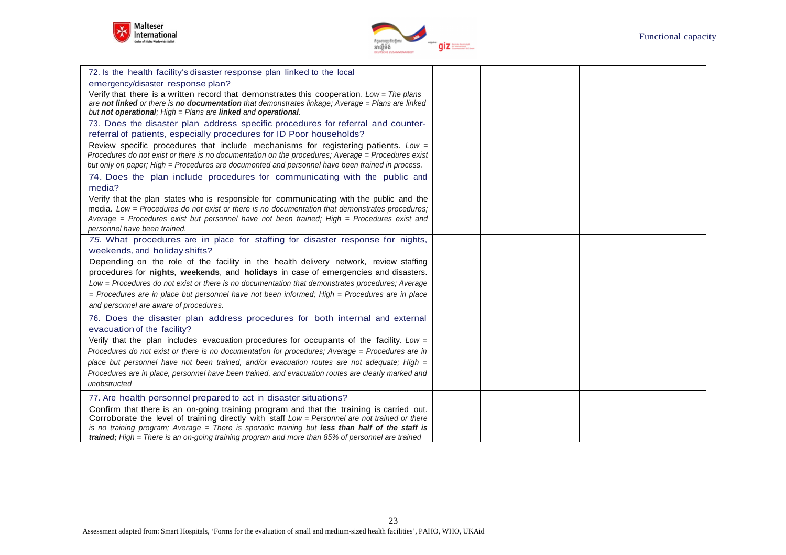



| 72. Is the health facility's disaster response plan linked to the local<br>emergency/disaster response plan?<br>Verify that there is a written record that demonstrates this cooperation. Low = The plans<br>are not linked or there is no documentation that demonstrates linkage; Average = Plans are linked<br>but not operational; High = Plans are linked and operational.                                                                                                                                                                      |  |  |
|------------------------------------------------------------------------------------------------------------------------------------------------------------------------------------------------------------------------------------------------------------------------------------------------------------------------------------------------------------------------------------------------------------------------------------------------------------------------------------------------------------------------------------------------------|--|--|
| 73. Does the disaster plan address specific procedures for referral and counter-<br>referral of patients, especially procedures for ID Poor households?<br>Review specific procedures that include mechanisms for registering patients. Low =<br>Procedures do not exist or there is no documentation on the procedures; Average = Procedures exist<br>but only on paper; High = Procedures are documented and personnel have been trained in process.                                                                                               |  |  |
| 74. Does the plan include procedures for communicating with the public and<br>media?<br>Verify that the plan states who is responsible for communicating with the public and the<br>media. Low = Procedures do not exist or there is no documentation that demonstrates procedures;<br>Average = Procedures exist but personnel have not been trained; High = Procedures exist and<br>personnel have been trained.                                                                                                                                   |  |  |
| 75. What procedures are in place for staffing for disaster response for nights,<br>weekends, and holiday shifts?<br>Depending on the role of the facility in the health delivery network, review staffing<br>procedures for nights, weekends, and holidays in case of emergencies and disasters.<br>Low = Procedures do not exist or there is no documentation that demonstrates procedures; Average<br>$=$ Procedures are in place but personnel have not been informed; High $=$ Procedures are in place<br>and personnel are aware of procedures. |  |  |
| 76. Does the disaster plan address procedures for both internal and external<br>evacuation of the facility?<br>Verify that the plan includes evacuation procedures for occupants of the facility. Low $=$<br>Procedures do not exist or there is no documentation for procedures; Average = Procedures are in<br>place but personnel have not been trained, and/or evacuation routes are not adequate; High =<br>Procedures are in place, personnel have been trained, and evacuation routes are clearly marked and<br>unobstructed                  |  |  |
| 77. Are health personnel prepared to act in disaster situations?<br>Confirm that there is an on-going training program and that the training is carried out.<br>Corroborate the level of training directly with staff Low = Personnel are not trained or there<br>is no training program; Average = There is sporadic training but less than half of the staff is<br>trained; High = There is an on-going training program and more than 85% of personnel are trained                                                                                |  |  |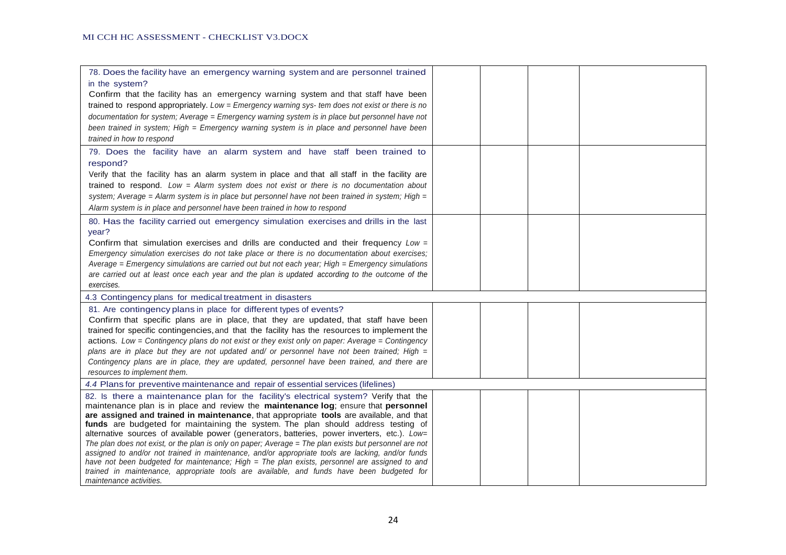| 78. Does the facility have an emergency warning system and are personnel trained                                                                                                 |  |  |
|----------------------------------------------------------------------------------------------------------------------------------------------------------------------------------|--|--|
| in the system?<br>Confirm that the facility has an emergency warning system and that staff have been                                                                             |  |  |
| trained to respond appropriately. Low = Emergency warning sys- tem does not exist or there is no                                                                                 |  |  |
| documentation for system; Average = Emergency warning system is in place but personnel have not                                                                                  |  |  |
| been trained in system; High = Emergency warning system is in place and personnel have been                                                                                      |  |  |
| trained in how to respond                                                                                                                                                        |  |  |
| 79. Does the facility have an alarm system and have staff been trained to                                                                                                        |  |  |
| respond?                                                                                                                                                                         |  |  |
| Verify that the facility has an alarm system in place and that all staff in the facility are                                                                                     |  |  |
| trained to respond. Low = Alarm system does not exist or there is no documentation about                                                                                         |  |  |
| system; Average = Alarm system is in place but personnel have not been trained in system; High =                                                                                 |  |  |
| Alarm system is in place and personnel have been trained in how to respond                                                                                                       |  |  |
| 80. Has the facility carried out emergency simulation exercises and drills in the last                                                                                           |  |  |
| year?                                                                                                                                                                            |  |  |
| Confirm that simulation exercises and drills are conducted and their frequency Low =                                                                                             |  |  |
| Emergency simulation exercises do not take place or there is no documentation about exercises;                                                                                   |  |  |
| Average = Emergency simulations are carried out but not each year; High = Emergency simulations                                                                                  |  |  |
| are carried out at least once each year and the plan is updated according to the outcome of the<br>exercises.                                                                    |  |  |
| 4.3 Contingency plans for medical treatment in disasters                                                                                                                         |  |  |
|                                                                                                                                                                                  |  |  |
| 81. Are contingency plans in place for different types of events?<br>Confirm that specific plans are in place, that they are updated, that staff have been                       |  |  |
| trained for specific contingencies, and that the facility has the resources to implement the                                                                                     |  |  |
| actions. Low = Contingency plans do not exist or they exist only on paper: Average = Contingency                                                                                 |  |  |
| plans are in place but they are not updated and/ or personnel have not been trained; High $=$                                                                                    |  |  |
| Contingency plans are in place, they are updated, personnel have been trained, and there are                                                                                     |  |  |
| resources to implement them.                                                                                                                                                     |  |  |
| 4.4 Plans for preventive maintenance and repair of essential services (lifelines)                                                                                                |  |  |
| 82. Is there a maintenance plan for the facility's electrical system? Verify that the                                                                                            |  |  |
| maintenance plan is in place and review the maintenance log; ensure that personnel                                                                                               |  |  |
| are assigned and trained in maintenance, that appropriate tools are available, and that                                                                                          |  |  |
| funds are budgeted for maintaining the system. The plan should address testing of<br>alternative sources of available power (generators, batteries, power inverters, etc.). Low= |  |  |
| The plan does not exist, or the plan is only on paper; Average = The plan exists but personnel are not                                                                           |  |  |
| assigned to and/or not trained in maintenance, and/or appropriate tools are lacking, and/or funds                                                                                |  |  |
| have not been budgeted for maintenance; High = The plan exists, personnel are assigned to and                                                                                    |  |  |
| trained in maintenance, appropriate tools are available, and funds have been budgeted for                                                                                        |  |  |
| maintenance activities.                                                                                                                                                          |  |  |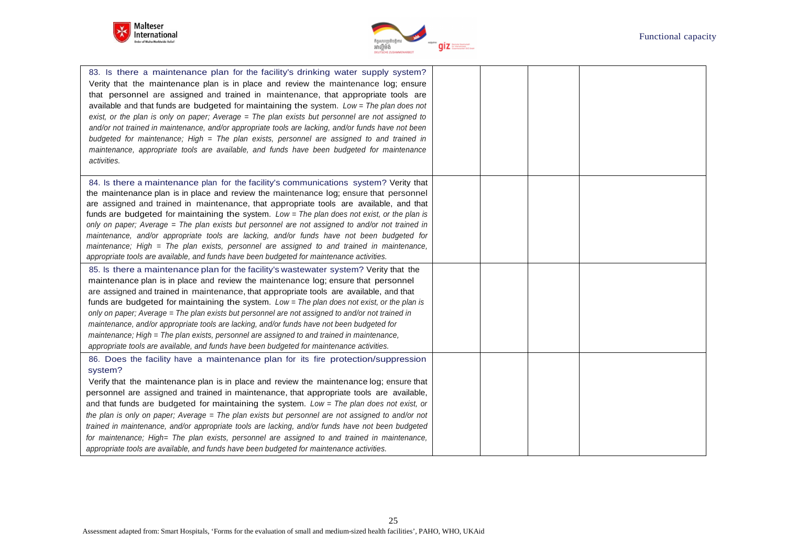



| 83. Is there a maintenance plan for the facility's drinking water supply system?<br>Verity that the maintenance plan is in place and review the maintenance log; ensure<br>that personnel are assigned and trained in maintenance, that appropriate tools are<br>available and that funds are budgeted for maintaining the system. Low = The plan does not<br>exist, or the plan is only on paper; Average = The plan exists but personnel are not assigned to<br>and/or not trained in maintenance, and/or appropriate tools are lacking, and/or funds have not been<br>budgeted for maintenance; High = The plan exists, personnel are assigned to and trained in<br>maintenance, appropriate tools are available, and funds have been budgeted for maintenance<br>activities.          |  |  |
|-------------------------------------------------------------------------------------------------------------------------------------------------------------------------------------------------------------------------------------------------------------------------------------------------------------------------------------------------------------------------------------------------------------------------------------------------------------------------------------------------------------------------------------------------------------------------------------------------------------------------------------------------------------------------------------------------------------------------------------------------------------------------------------------|--|--|
| 84. Is there a maintenance plan for the facility's communications system? Verity that<br>the maintenance plan is in place and review the maintenance log; ensure that personnel<br>are assigned and trained in maintenance, that appropriate tools are available, and that<br>funds are budgeted for maintaining the system. Low = The plan does not exist, or the plan is<br>only on paper; Average = The plan exists but personnel are not assigned to and/or not trained in<br>maintenance, and/or appropriate tools are lacking, and/or funds have not been budgeted for<br>maintenance; High = The plan exists, personnel are assigned to and trained in maintenance,<br>appropriate tools are available, and funds have been budgeted for maintenance activities.                   |  |  |
| 85. Is there a maintenance plan for the facility's wastewater system? Verity that the<br>maintenance plan is in place and review the maintenance log; ensure that personnel<br>are assigned and trained in maintenance, that appropriate tools are available, and that<br>funds are budgeted for maintaining the system. Low = The plan does not exist, or the plan is<br>only on paper; Average = The plan exists but personnel are not assigned to and/or not trained in<br>maintenance, and/or appropriate tools are lacking, and/or funds have not been budgeted for<br>maintenance; High = The plan exists, personnel are assigned to and trained in maintenance,<br>appropriate tools are available, and funds have been budgeted for maintenance activities.                       |  |  |
| 86. Does the facility have a maintenance plan for its fire protection/suppression<br>system?<br>Verify that the maintenance plan is in place and review the maintenance log; ensure that<br>personnel are assigned and trained in maintenance, that appropriate tools are available,<br>and that funds are budgeted for maintaining the system. Low = The plan does not exist, or<br>the plan is only on paper; Average = The plan exists but personnel are not assigned to and/or not<br>trained in maintenance, and/or appropriate tools are lacking, and/or funds have not been budgeted<br>for maintenance; High= The plan exists, personnel are assigned to and trained in maintenance,<br>appropriate tools are available, and funds have been budgeted for maintenance activities. |  |  |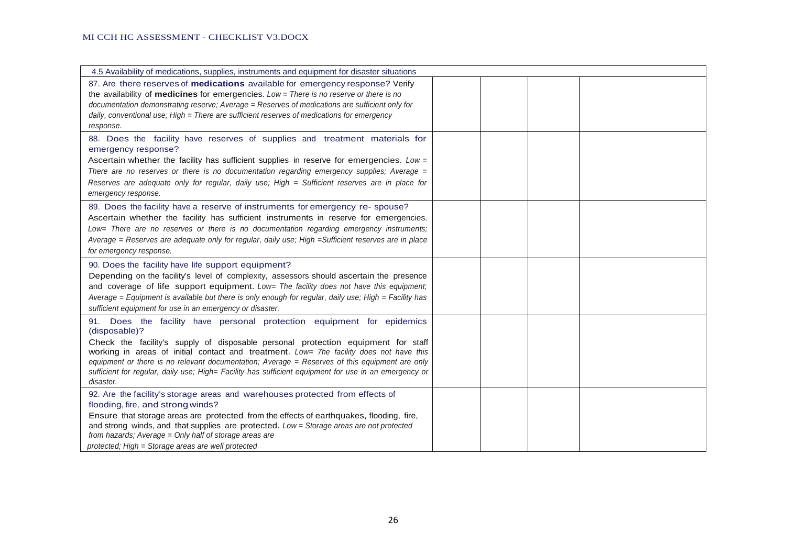| 4.5 Availability of medications, supplies, instruments and equipment for disaster situations                                                                                                                                                                                                                                                                                                                                                                                                    |  |
|-------------------------------------------------------------------------------------------------------------------------------------------------------------------------------------------------------------------------------------------------------------------------------------------------------------------------------------------------------------------------------------------------------------------------------------------------------------------------------------------------|--|
| 87. Are there reserves of medications available for emergency response? Verify<br>the availability of medicines for emergencies. Low = There is no reserve or there is no<br>documentation demonstrating reserve; Average = Reserves of medications are sufficient only for<br>daily, conventional use; High = There are sufficient reserves of medications for emergency<br>response.                                                                                                          |  |
| 88. Does the facility have reserves of supplies and treatment materials for<br>emergency response?<br>Ascertain whether the facility has sufficient supplies in reserve for emergencies. Low =<br>There are no reserves or there is no documentation regarding emergency supplies; Average $=$<br>Reserves are adequate only for regular, daily use; High = Sufficient reserves are in place for<br>emergency response.                                                                         |  |
| 89. Does the facility have a reserve of instruments for emergency re- spouse?<br>Ascertain whether the facility has sufficient instruments in reserve for emergencies.<br>Low= There are no reserves or there is no documentation regarding emergency instruments;<br>Average = Reserves are adequate only for regular, daily use; High = Sufficient reserves are in place<br>for emergency response.                                                                                           |  |
| 90. Does the facility have life support equipment?<br>Depending on the facility's level of complexity, assessors should ascertain the presence<br>and coverage of life support equipment. Low= The facility does not have this equipment;<br>Average = Equipment is available but there is only enough for regular, daily use; High = Facility has<br>sufficient equipment for use in an emergency or disaster.                                                                                 |  |
| 91. Does the facility have personal protection equipment for epidemics<br>(disposable)?<br>Check the facility's supply of disposable personal protection equipment for staff<br>working in areas of initial contact and treatment. Low= 7he facility does not have this<br>equipment or there is no relevant documentation; Average = Reserves of this equipment are only<br>sufficient for regular, daily use; High= Facility has sufficient equipment for use in an emergency or<br>disaster. |  |
| 92. Are the facility's storage areas and warehouses protected from effects of<br>flooding, fire, and strong winds?<br>Ensure that storage areas are protected from the effects of earthquakes, flooding, fire,<br>and strong winds, and that supplies are protected. Low = Storage areas are not protected<br>from hazards; Average = Only half of storage areas are<br>protected; High = Storage areas are well protected                                                                      |  |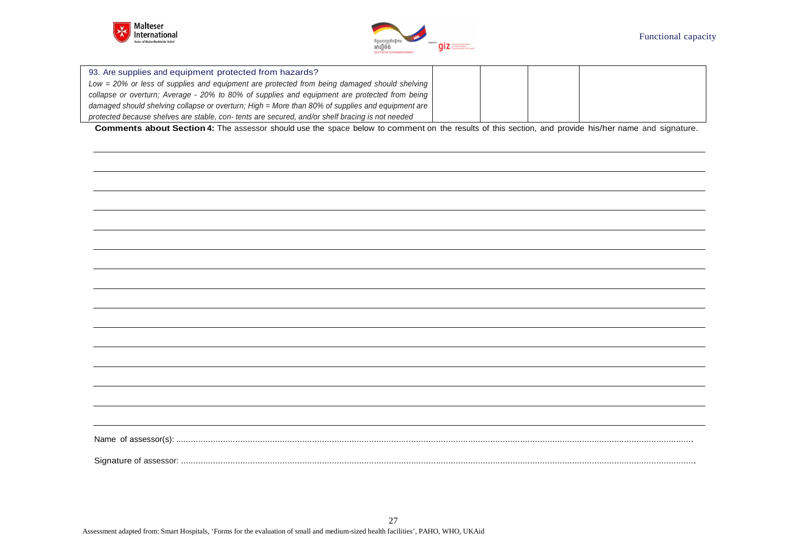



| 93. Are supplies and equipment protected from hazards?                                           |  |  |
|--------------------------------------------------------------------------------------------------|--|--|
| Low = 20% or less of supplies and equipment are protected from being damaged should shelving     |  |  |
| collapse or overturn; Average - 20% to 80% of supplies and equipment are protected from being    |  |  |
| damaged should shelving collapse or overturn; High = More than 80% of supplies and equipment are |  |  |
| protected because shelves are stable, con-tents are secured, and/or shelf bracing is not needed  |  |  |

**Comments about Section 4:** The assessor should use the space below to comment on the results of this section, and provide his/her name and signature.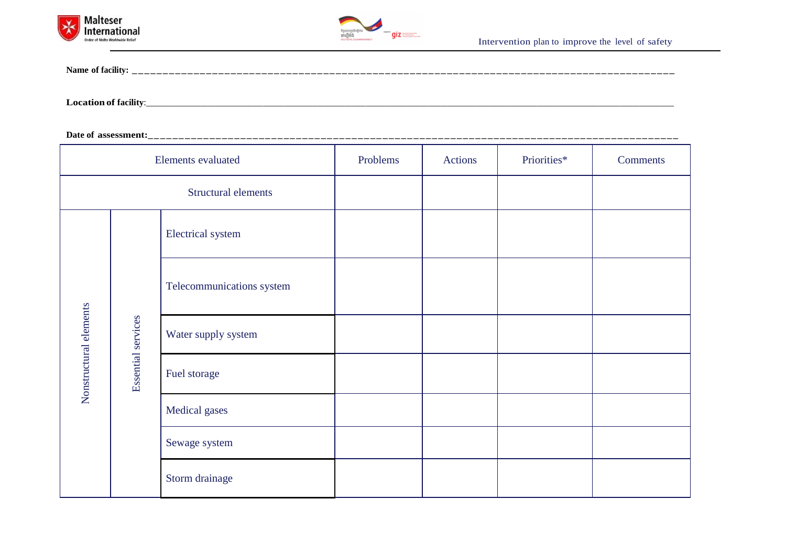



**Name of facility: \_\_\_\_\_\_ \_\_\_\_ \_\_ \_\_\_\_\_\_ \_\_ \_\_\_\_ \_\_\_\_\_\_\_ \_\_ \_\_ \_\_\_\_ \_\_ \_\_ \_\_ \_\_\_\_ \_\_ \_\_ \_\_\_\_ \_\_ \_\_ \_\_ \_\_\_\_ \_\_ \_\_ \_\_\_\_ \_\_ \_\_ \_\_\_ \_\_ \_\_\_\_**

**Location of facility**:\_\_\_\_\_\_\_\_\_\_\_\_\_\_\_\_\_\_\_\_\_\_\_\_\_\_\_\_\_\_\_\_\_\_\_\_\_\_\_\_\_\_\_\_\_\_\_\_\_\_\_\_\_\_\_\_\_\_\_\_\_\_\_\_\_\_\_\_\_\_\_\_\_\_\_\_\_

**Date of assessment:\_\_ \_\_ \_\_ \_\_\_\_ \_\_ \_\_ \_\_\_\_ \_\_ \_\_ \_\_ \_\_\_\_ \_\_ \_\_ \_\_\_\_ \_\_ \_\_\_\_\_ \_\_ \_\_\_\_\_\_ \_\_ \_\_\_\_ \_\_\_\_ \_\_ \_\_\_\_\_\_ \_\_ \_\_\_\_ \_\_\_\_ \_\_ \_\_\_\_\_** 

|                                              | Elements evaluated        | Problems | Actions | Priorities* | <b>Comments</b> |
|----------------------------------------------|---------------------------|----------|---------|-------------|-----------------|
|                                              | Structural elements       |          |         |             |                 |
| Nonstructural elements<br>Essential services | Electrical system         |          |         |             |                 |
|                                              | Telecommunications system |          |         |             |                 |
|                                              | Water supply system       |          |         |             |                 |
|                                              | Fuel storage              |          |         |             |                 |
|                                              | Medical gases             |          |         |             |                 |
|                                              | Sewage system             |          |         |             |                 |
|                                              | Storm drainage            |          |         |             |                 |